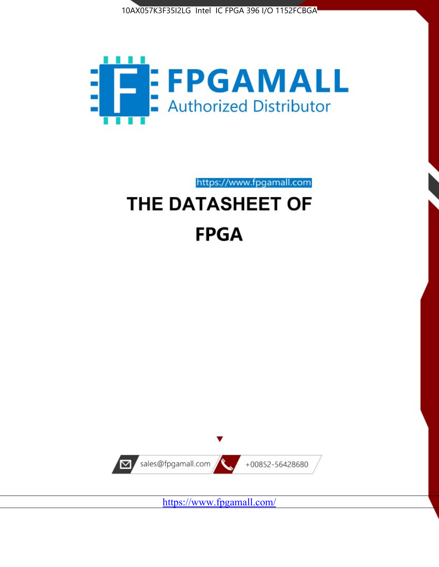



https://www.fpgamall.com

# THE DATASHEET OF **FPGA**



<https://www.fpgamall.com/>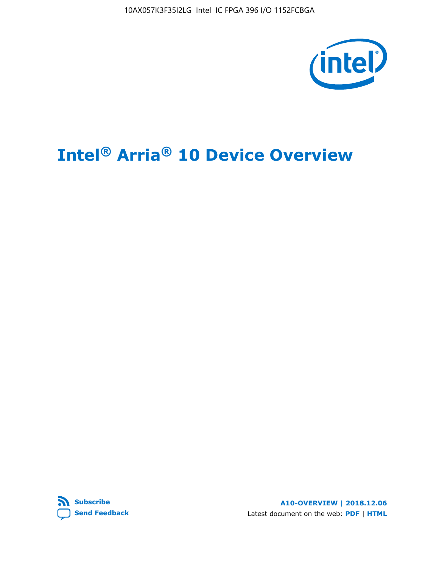10AX057K3F35I2LG Intel IC FPGA 396 I/O 1152FCBGA



# **Intel® Arria® 10 Device Overview**



**A10-OVERVIEW | 2018.12.06** Latest document on the web: **[PDF](https://www.intel.com/content/dam/www/programmable/us/en/pdfs/literature/hb/arria-10/a10_overview.pdf)** | **[HTML](https://www.intel.com/content/www/us/en/programmable/documentation/sam1403480274650.html)**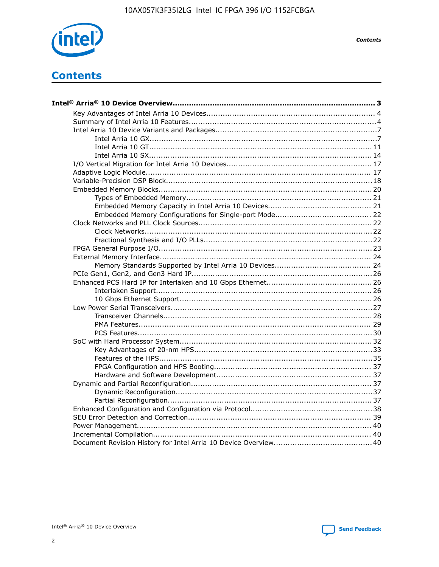

**Contents** 

# **Contents**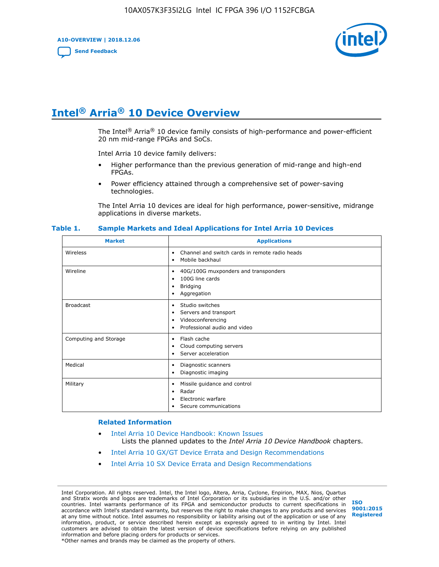**A10-OVERVIEW | 2018.12.06**

**[Send Feedback](mailto:FPGAtechdocfeedback@intel.com?subject=Feedback%20on%20Intel%20Arria%2010%20Device%20Overview%20(A10-OVERVIEW%202018.12.06)&body=We%20appreciate%20your%20feedback.%20In%20your%20comments,%20also%20specify%20the%20page%20number%20or%20paragraph.%20Thank%20you.)**



# **Intel® Arria® 10 Device Overview**

The Intel<sup>®</sup> Arria<sup>®</sup> 10 device family consists of high-performance and power-efficient 20 nm mid-range FPGAs and SoCs.

Intel Arria 10 device family delivers:

- Higher performance than the previous generation of mid-range and high-end FPGAs.
- Power efficiency attained through a comprehensive set of power-saving technologies.

The Intel Arria 10 devices are ideal for high performance, power-sensitive, midrange applications in diverse markets.

| <b>Market</b>         | <b>Applications</b>                                                                                               |
|-----------------------|-------------------------------------------------------------------------------------------------------------------|
| Wireless              | Channel and switch cards in remote radio heads<br>٠<br>Mobile backhaul<br>٠                                       |
| Wireline              | 40G/100G muxponders and transponders<br>٠<br>100G line cards<br>٠<br>Bridging<br>٠<br>Aggregation<br>٠            |
| <b>Broadcast</b>      | Studio switches<br>٠<br>Servers and transport<br>٠<br>Videoconferencing<br>٠<br>Professional audio and video<br>٠ |
| Computing and Storage | Flash cache<br>٠<br>Cloud computing servers<br>٠<br>Server acceleration<br>٠                                      |
| Medical               | Diagnostic scanners<br>٠<br>Diagnostic imaging<br>٠                                                               |
| Military              | Missile guidance and control<br>٠<br>Radar<br>٠<br>Electronic warfare<br>٠<br>Secure communications<br>٠          |

#### **Table 1. Sample Markets and Ideal Applications for Intel Arria 10 Devices**

#### **Related Information**

- [Intel Arria 10 Device Handbook: Known Issues](http://www.altera.com/support/kdb/solutions/rd07302013_646.html) Lists the planned updates to the *Intel Arria 10 Device Handbook* chapters.
- [Intel Arria 10 GX/GT Device Errata and Design Recommendations](https://www.intel.com/content/www/us/en/programmable/documentation/agz1493851706374.html#yqz1494433888646)
- [Intel Arria 10 SX Device Errata and Design Recommendations](https://www.intel.com/content/www/us/en/programmable/documentation/cru1462832385668.html#cru1462832558642)

Intel Corporation. All rights reserved. Intel, the Intel logo, Altera, Arria, Cyclone, Enpirion, MAX, Nios, Quartus and Stratix words and logos are trademarks of Intel Corporation or its subsidiaries in the U.S. and/or other countries. Intel warrants performance of its FPGA and semiconductor products to current specifications in accordance with Intel's standard warranty, but reserves the right to make changes to any products and services at any time without notice. Intel assumes no responsibility or liability arising out of the application or use of any information, product, or service described herein except as expressly agreed to in writing by Intel. Intel customers are advised to obtain the latest version of device specifications before relying on any published information and before placing orders for products or services. \*Other names and brands may be claimed as the property of others.

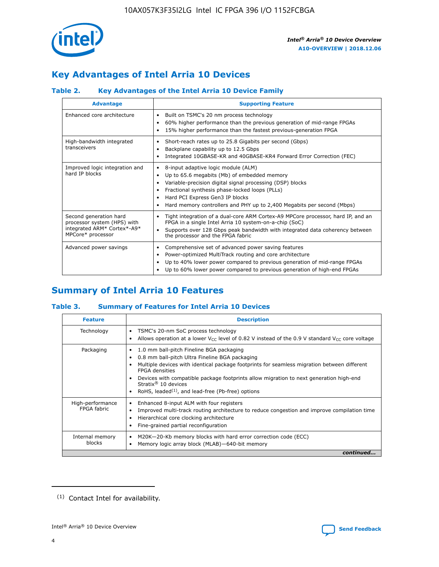

# **Key Advantages of Intel Arria 10 Devices**

# **Table 2. Key Advantages of the Intel Arria 10 Device Family**

| <b>Advantage</b>                                                                                          | <b>Supporting Feature</b>                                                                                                                                                                                                                                                                                                |
|-----------------------------------------------------------------------------------------------------------|--------------------------------------------------------------------------------------------------------------------------------------------------------------------------------------------------------------------------------------------------------------------------------------------------------------------------|
| Enhanced core architecture                                                                                | Built on TSMC's 20 nm process technology<br>٠<br>60% higher performance than the previous generation of mid-range FPGAs<br>٠<br>15% higher performance than the fastest previous-generation FPGA<br>٠                                                                                                                    |
| High-bandwidth integrated<br>transceivers                                                                 | Short-reach rates up to 25.8 Gigabits per second (Gbps)<br>٠<br>Backplane capability up to 12.5 Gbps<br>٠<br>Integrated 10GBASE-KR and 40GBASE-KR4 Forward Error Correction (FEC)<br>٠                                                                                                                                   |
| Improved logic integration and<br>hard IP blocks                                                          | 8-input adaptive logic module (ALM)<br>٠<br>Up to 65.6 megabits (Mb) of embedded memory<br>٠<br>Variable-precision digital signal processing (DSP) blocks<br>Fractional synthesis phase-locked loops (PLLs)<br>Hard PCI Express Gen3 IP blocks<br>Hard memory controllers and PHY up to 2,400 Megabits per second (Mbps) |
| Second generation hard<br>processor system (HPS) with<br>integrated ARM* Cortex*-A9*<br>MPCore* processor | Tight integration of a dual-core ARM Cortex-A9 MPCore processor, hard IP, and an<br>٠<br>FPGA in a single Intel Arria 10 system-on-a-chip (SoC)<br>Supports over 128 Gbps peak bandwidth with integrated data coherency between<br>$\bullet$<br>the processor and the FPGA fabric                                        |
| Advanced power savings                                                                                    | Comprehensive set of advanced power saving features<br>٠<br>Power-optimized MultiTrack routing and core architecture<br>٠<br>Up to 40% lower power compared to previous generation of mid-range FPGAs<br>Up to 60% lower power compared to previous generation of high-end FPGAs                                         |

# **Summary of Intel Arria 10 Features**

## **Table 3. Summary of Features for Intel Arria 10 Devices**

| <b>Feature</b>                  | <b>Description</b>                                                                                                                                                                                                                                                                                                                                                                                 |
|---------------------------------|----------------------------------------------------------------------------------------------------------------------------------------------------------------------------------------------------------------------------------------------------------------------------------------------------------------------------------------------------------------------------------------------------|
| Technology                      | TSMC's 20-nm SoC process technology<br>Allows operation at a lower $V_{\text{CC}}$ level of 0.82 V instead of the 0.9 V standard $V_{\text{CC}}$ core voltage                                                                                                                                                                                                                                      |
| Packaging                       | 1.0 mm ball-pitch Fineline BGA packaging<br>٠<br>0.8 mm ball-pitch Ultra Fineline BGA packaging<br>Multiple devices with identical package footprints for seamless migration between different<br><b>FPGA</b> densities<br>Devices with compatible package footprints allow migration to next generation high-end<br>Stratix $@10$ devices<br>RoHS, leaded $(1)$ , and lead-free (Pb-free) options |
| High-performance<br>FPGA fabric | Enhanced 8-input ALM with four registers<br>Improved multi-track routing architecture to reduce congestion and improve compilation time<br>Hierarchical core clocking architecture<br>Fine-grained partial reconfiguration                                                                                                                                                                         |
| Internal memory<br>blocks       | M20K-20-Kb memory blocks with hard error correction code (ECC)<br>Memory logic array block (MLAB)-640-bit memory                                                                                                                                                                                                                                                                                   |
|                                 | continued                                                                                                                                                                                                                                                                                                                                                                                          |



<sup>(1)</sup> Contact Intel for availability.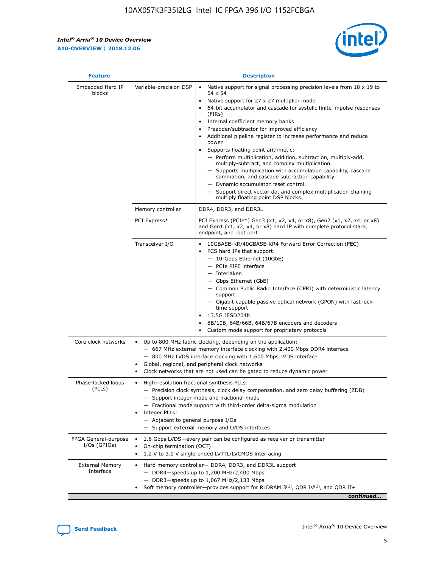$\mathbf{r}$ 



| <b>Feature</b>                         |                                                                                                                                                                                                                                                                         | <b>Description</b>                                                                                                                                                                                                                                                                                                                                                                                                                                                                                                                                                                                                                                                                                                                                                                                                                                                            |  |  |  |  |
|----------------------------------------|-------------------------------------------------------------------------------------------------------------------------------------------------------------------------------------------------------------------------------------------------------------------------|-------------------------------------------------------------------------------------------------------------------------------------------------------------------------------------------------------------------------------------------------------------------------------------------------------------------------------------------------------------------------------------------------------------------------------------------------------------------------------------------------------------------------------------------------------------------------------------------------------------------------------------------------------------------------------------------------------------------------------------------------------------------------------------------------------------------------------------------------------------------------------|--|--|--|--|
| Embedded Hard IP<br>blocks             | Variable-precision DSP                                                                                                                                                                                                                                                  | Native support for signal processing precision levels from $18 \times 19$ to<br>$\bullet$<br>54 x 54<br>Native support for 27 x 27 multiplier mode<br>$\bullet$<br>64-bit accumulator and cascade for systolic finite impulse responses<br>$\bullet$<br>(FIRs)<br>Internal coefficient memory banks<br>$\bullet$<br>Preadder/subtractor for improved efficiency<br>Additional pipeline register to increase performance and reduce<br>power<br>Supports floating point arithmetic:<br>- Perform multiplication, addition, subtraction, multiply-add,<br>multiply-subtract, and complex multiplication.<br>- Supports multiplication with accumulation capability, cascade<br>summation, and cascade subtraction capability.<br>- Dynamic accumulator reset control.<br>- Support direct vector dot and complex multiplication chaining<br>multiply floating point DSP blocks. |  |  |  |  |
|                                        | Memory controller                                                                                                                                                                                                                                                       | DDR4, DDR3, and DDR3L                                                                                                                                                                                                                                                                                                                                                                                                                                                                                                                                                                                                                                                                                                                                                                                                                                                         |  |  |  |  |
|                                        | PCI Express*                                                                                                                                                                                                                                                            | PCI Express (PCIe*) Gen3 (x1, x2, x4, or x8), Gen2 (x1, x2, x4, or x8)<br>and Gen1 (x1, x2, x4, or x8) hard IP with complete protocol stack,<br>endpoint, and root port                                                                                                                                                                                                                                                                                                                                                                                                                                                                                                                                                                                                                                                                                                       |  |  |  |  |
|                                        | Transceiver I/O                                                                                                                                                                                                                                                         | 10GBASE-KR/40GBASE-KR4 Forward Error Correction (FEC)<br>PCS hard IPs that support:<br>٠<br>- 10-Gbps Ethernet (10GbE)<br>- PCIe PIPE interface<br>- Interlaken<br>- Gbps Ethernet (GbE)<br>- Common Public Radio Interface (CPRI) with deterministic latency<br>support<br>- Gigabit-capable passive optical network (GPON) with fast lock-<br>time support<br>13.5G JESD204b<br>$\bullet$<br>8B/10B, 64B/66B, 64B/67B encoders and decoders<br>$\bullet$<br>Custom mode support for proprietary protocols                                                                                                                                                                                                                                                                                                                                                                   |  |  |  |  |
| Core clock networks                    | $\bullet$                                                                                                                                                                                                                                                               | Up to 800 MHz fabric clocking, depending on the application:<br>- 667 MHz external memory interface clocking with 2,400 Mbps DDR4 interface<br>- 800 MHz LVDS interface clocking with 1,600 Mbps LVDS interface<br>Global, regional, and peripheral clock networks<br>Clock networks that are not used can be gated to reduce dynamic power                                                                                                                                                                                                                                                                                                                                                                                                                                                                                                                                   |  |  |  |  |
| Phase-locked loops<br>(PLLs)           | High-resolution fractional synthesis PLLs:<br>٠<br>Integer PLLs:<br>- Adjacent to general purpose I/Os                                                                                                                                                                  | - Precision clock synthesis, clock delay compensation, and zero delay buffering (ZDB)<br>- Support integer mode and fractional mode<br>- Fractional mode support with third-order delta-sigma modulation<br>- Support external memory and LVDS interfaces                                                                                                                                                                                                                                                                                                                                                                                                                                                                                                                                                                                                                     |  |  |  |  |
| FPGA General-purpose<br>$I/Os$ (GPIOs) | On-chip termination (OCT)<br>٠                                                                                                                                                                                                                                          | 1.6 Gbps LVDS-every pair can be configured as receiver or transmitter<br>1.2 V to 3.0 V single-ended LVTTL/LVCMOS interfacing                                                                                                                                                                                                                                                                                                                                                                                                                                                                                                                                                                                                                                                                                                                                                 |  |  |  |  |
| <b>External Memory</b><br>Interface    | Hard memory controller- DDR4, DDR3, and DDR3L support<br>$\bullet$<br>- DDR4-speeds up to 1,200 MHz/2,400 Mbps<br>- DDR3-speeds up to 1,067 MHz/2,133 Mbps<br>Soft memory controller—provides support for RLDRAM $3^{(2)}$ , QDR IV $^{(2)}$ , and QDR II+<br>continued |                                                                                                                                                                                                                                                                                                                                                                                                                                                                                                                                                                                                                                                                                                                                                                                                                                                                               |  |  |  |  |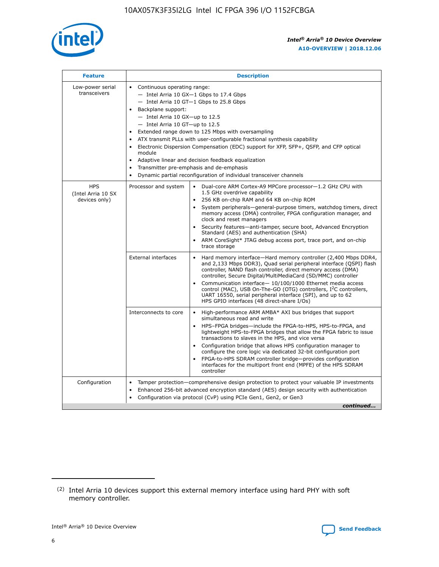

| <b>Feature</b>                                    | <b>Description</b>                                                                                                                                                                                                                                                                                                                                                                                                                                                                                                                                                                                                                                  |
|---------------------------------------------------|-----------------------------------------------------------------------------------------------------------------------------------------------------------------------------------------------------------------------------------------------------------------------------------------------------------------------------------------------------------------------------------------------------------------------------------------------------------------------------------------------------------------------------------------------------------------------------------------------------------------------------------------------------|
| Low-power serial<br>transceivers                  | • Continuous operating range:<br>- Intel Arria 10 GX-1 Gbps to 17.4 Gbps<br>- Intel Arria 10 GT-1 Gbps to 25.8 Gbps<br>Backplane support:<br>- Intel Arria 10 GX-up to 12.5<br>- Intel Arria 10 GT-up to 12.5<br>Extended range down to 125 Mbps with oversampling<br>ATX transmit PLLs with user-configurable fractional synthesis capability<br>Electronic Dispersion Compensation (EDC) support for XFP, SFP+, QSFP, and CFP optical<br>module<br>Adaptive linear and decision feedback equalization<br>$\bullet$<br>Transmitter pre-emphasis and de-emphasis<br>$\bullet$<br>Dynamic partial reconfiguration of individual transceiver channels |
| <b>HPS</b><br>(Intel Arria 10 SX<br>devices only) | Dual-core ARM Cortex-A9 MPCore processor-1.2 GHz CPU with<br>Processor and system<br>$\bullet$<br>1.5 GHz overdrive capability<br>256 KB on-chip RAM and 64 KB on-chip ROM<br>System peripherals—general-purpose timers, watchdog timers, direct<br>memory access (DMA) controller, FPGA configuration manager, and<br>clock and reset managers<br>Security features-anti-tamper, secure boot, Advanced Encryption<br>Standard (AES) and authentication (SHA)<br>ARM CoreSight* JTAG debug access port, trace port, and on-chip<br>trace storage                                                                                                    |
|                                                   | <b>External interfaces</b><br>Hard memory interface-Hard memory controller (2,400 Mbps DDR4,<br>$\bullet$<br>and 2,133 Mbps DDR3), Quad serial peripheral interface (QSPI) flash<br>controller, NAND flash controller, direct memory access (DMA)<br>controller, Secure Digital/MultiMediaCard (SD/MMC) controller<br>Communication interface-10/100/1000 Ethernet media access<br>control (MAC), USB On-The-GO (OTG) controllers, I <sup>2</sup> C controllers,<br>UART 16550, serial peripheral interface (SPI), and up to 62<br>HPS GPIO interfaces (48 direct-share I/Os)                                                                       |
|                                                   | High-performance ARM AMBA* AXI bus bridges that support<br>Interconnects to core<br>$\bullet$<br>simultaneous read and write<br>HPS-FPGA bridges-include the FPGA-to-HPS, HPS-to-FPGA, and<br>$\bullet$<br>lightweight HPS-to-FPGA bridges that allow the FPGA fabric to issue<br>transactions to slaves in the HPS, and vice versa<br>Configuration bridge that allows HPS configuration manager to<br>configure the core logic via dedicated 32-bit configuration port<br>FPGA-to-HPS SDRAM controller bridge-provides configuration<br>interfaces for the multiport front end (MPFE) of the HPS SDRAM<br>controller                              |
| Configuration                                     | Tamper protection—comprehensive design protection to protect your valuable IP investments<br>Enhanced 256-bit advanced encryption standard (AES) design security with authentication<br>٠<br>Configuration via protocol (CvP) using PCIe Gen1, Gen2, or Gen3<br>continued                                                                                                                                                                                                                                                                                                                                                                           |

<sup>(2)</sup> Intel Arria 10 devices support this external memory interface using hard PHY with soft memory controller.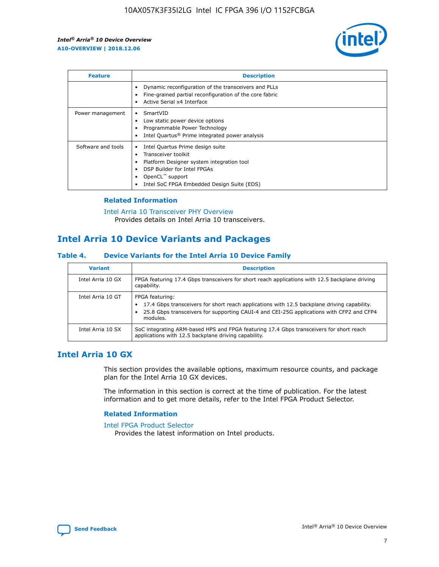

| <b>Feature</b>     | <b>Description</b>                                                                                                                                                                                               |
|--------------------|------------------------------------------------------------------------------------------------------------------------------------------------------------------------------------------------------------------|
|                    | Dynamic reconfiguration of the transceivers and PLLs<br>Fine-grained partial reconfiguration of the core fabric<br>Active Serial x4 Interface<br>$\bullet$                                                       |
| Power management   | SmartVID<br>Low static power device options<br>Programmable Power Technology<br>Intel Quartus <sup>®</sup> Prime integrated power analysis                                                                       |
| Software and tools | Intel Quartus Prime design suite<br>Transceiver toolkit<br>Platform Designer system integration tool<br>DSP Builder for Intel FPGAs<br>OpenCL <sup>™</sup> support<br>Intel SoC FPGA Embedded Design Suite (EDS) |

## **Related Information**

[Intel Arria 10 Transceiver PHY Overview](https://www.intel.com/content/www/us/en/programmable/documentation/nik1398707230472.html#nik1398706768037) Provides details on Intel Arria 10 transceivers.

# **Intel Arria 10 Device Variants and Packages**

#### **Table 4. Device Variants for the Intel Arria 10 Device Family**

| <b>Variant</b>    | <b>Description</b>                                                                                                                                                                                                     |
|-------------------|------------------------------------------------------------------------------------------------------------------------------------------------------------------------------------------------------------------------|
| Intel Arria 10 GX | FPGA featuring 17.4 Gbps transceivers for short reach applications with 12.5 backplane driving<br>capability.                                                                                                          |
| Intel Arria 10 GT | FPGA featuring:<br>17.4 Gbps transceivers for short reach applications with 12.5 backplane driving capability.<br>25.8 Gbps transceivers for supporting CAUI-4 and CEI-25G applications with CFP2 and CFP4<br>modules. |
| Intel Arria 10 SX | SoC integrating ARM-based HPS and FPGA featuring 17.4 Gbps transceivers for short reach<br>applications with 12.5 backplane driving capability.                                                                        |

# **Intel Arria 10 GX**

This section provides the available options, maximum resource counts, and package plan for the Intel Arria 10 GX devices.

The information in this section is correct at the time of publication. For the latest information and to get more details, refer to the Intel FPGA Product Selector.

#### **Related Information**

#### [Intel FPGA Product Selector](http://www.altera.com/products/selector/psg-selector.html) Provides the latest information on Intel products.

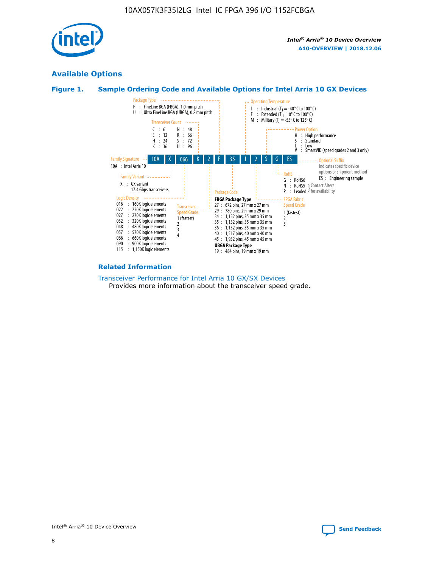

# **Available Options**





#### **Related Information**

[Transceiver Performance for Intel Arria 10 GX/SX Devices](https://www.intel.com/content/www/us/en/programmable/documentation/mcn1413182292568.html#mcn1413213965502) Provides more information about the transceiver speed grade.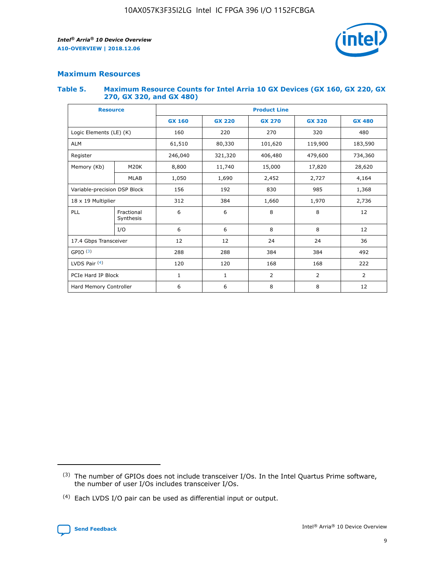

## **Maximum Resources**

#### **Table 5. Maximum Resource Counts for Intel Arria 10 GX Devices (GX 160, GX 220, GX 270, GX 320, and GX 480)**

| <b>Resource</b>              |                         | <b>Product Line</b> |                    |               |                |                |  |  |
|------------------------------|-------------------------|---------------------|--------------------|---------------|----------------|----------------|--|--|
|                              |                         | <b>GX 160</b>       | <b>GX 220</b>      | <b>GX 270</b> | <b>GX 320</b>  | <b>GX 480</b>  |  |  |
| Logic Elements (LE) (K)      |                         | 160                 | 220                | 270           | 320            | 480            |  |  |
| <b>ALM</b>                   |                         | 61,510              | 80,330             | 101,620       | 119,900        | 183,590        |  |  |
| Register                     |                         | 246,040             | 406,480<br>321,320 |               | 479,600        | 734,360        |  |  |
| Memory (Kb)                  | M <sub>20</sub> K       | 8,800               | 11,740             | 15,000        | 17,820         | 28,620         |  |  |
|                              | <b>MLAB</b>             | 1,050               | 1,690              | 2,452         | 2,727          | 4,164          |  |  |
| Variable-precision DSP Block |                         | 156                 | 192                | 830           | 985            | 1,368          |  |  |
| 18 x 19 Multiplier           |                         | 312                 | 384                | 1,660         | 1,970          |                |  |  |
| PLL                          | Fractional<br>Synthesis | 6                   | 6                  | 8             | 8              | 12             |  |  |
|                              | I/O                     | 6                   | 6                  | 8             | 8              | 12             |  |  |
| 17.4 Gbps Transceiver        |                         | 12                  | 12                 | 24            | 24             | 36             |  |  |
| GPIO <sup>(3)</sup>          |                         | 288                 | 288                | 384           | 384            |                |  |  |
| LVDS Pair $(4)$              |                         | 120                 | 120                | 168           | 168            | 222            |  |  |
| PCIe Hard IP Block           |                         | 1                   | 1                  | 2             | $\overline{2}$ | $\overline{2}$ |  |  |
| Hard Memory Controller       |                         | 6                   | 6                  | 8             | 8              | 12             |  |  |

<sup>(4)</sup> Each LVDS I/O pair can be used as differential input or output.



<sup>(3)</sup> The number of GPIOs does not include transceiver I/Os. In the Intel Quartus Prime software, the number of user I/Os includes transceiver I/Os.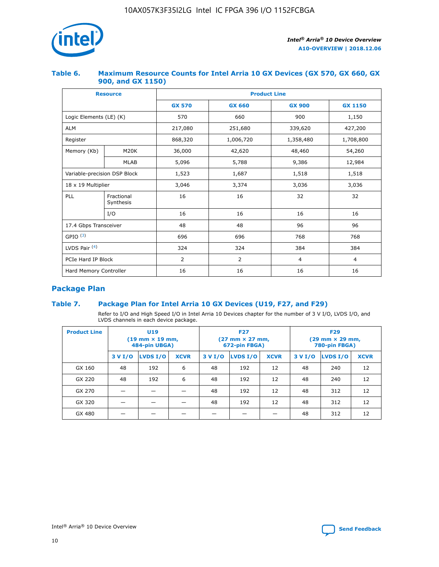

## **Table 6. Maximum Resource Counts for Intel Arria 10 GX Devices (GX 570, GX 660, GX 900, and GX 1150)**

|                              | <b>Resource</b>         | <b>Product Line</b> |                |                |                |  |  |  |
|------------------------------|-------------------------|---------------------|----------------|----------------|----------------|--|--|--|
|                              |                         | <b>GX 570</b>       | <b>GX 660</b>  | <b>GX 900</b>  | <b>GX 1150</b> |  |  |  |
| Logic Elements (LE) (K)      |                         | 570                 | 660            | 900            | 1,150          |  |  |  |
| <b>ALM</b>                   |                         | 217,080             | 251,680        | 339,620        | 427,200        |  |  |  |
| Register                     |                         | 868,320             | 1,006,720      | 1,358,480      | 1,708,800      |  |  |  |
| Memory (Kb)                  | <b>M20K</b>             | 36,000              | 42,620         | 48,460         | 54,260         |  |  |  |
|                              | <b>MLAB</b>             | 5,096               | 5,788          | 9,386          | 12,984         |  |  |  |
| Variable-precision DSP Block |                         | 1,523               | 1,687          | 1,518          | 1,518          |  |  |  |
|                              | 18 x 19 Multiplier      |                     | 3,374          | 3,036          | 3,036          |  |  |  |
| PLL                          | Fractional<br>Synthesis | 16                  | 16             | 32             | 32             |  |  |  |
|                              | I/O                     | 16                  | 16             | 16             | 16             |  |  |  |
| 17.4 Gbps Transceiver        |                         | 48                  | 48             |                | 96             |  |  |  |
| GPIO <sup>(3)</sup>          |                         | 696                 | 696            | 768            | 768            |  |  |  |
| LVDS Pair $(4)$              |                         | 324                 | 324            | 384            | 384            |  |  |  |
| PCIe Hard IP Block           |                         | 2                   | $\overline{2}$ | $\overline{4}$ | $\overline{4}$ |  |  |  |
| Hard Memory Controller       |                         | 16                  | 16             | 16             | 16             |  |  |  |

# **Package Plan**

## **Table 7. Package Plan for Intel Arria 10 GX Devices (U19, F27, and F29)**

Refer to I/O and High Speed I/O in Intel Arria 10 Devices chapter for the number of 3 V I/O, LVDS I/O, and LVDS channels in each device package.

| <b>Product Line</b> | U <sub>19</sub><br>$(19 \text{ mm} \times 19 \text{ mm})$<br>484-pin UBGA) |          |             | <b>F27</b><br>(27 mm × 27 mm,<br>672-pin FBGA) |                 |             | <b>F29</b><br>(29 mm × 29 mm,<br>780-pin FBGA) |          |             |  |
|---------------------|----------------------------------------------------------------------------|----------|-------------|------------------------------------------------|-----------------|-------------|------------------------------------------------|----------|-------------|--|
|                     | 3 V I/O                                                                    | LVDS I/O | <b>XCVR</b> | 3 V I/O                                        | <b>LVDS I/O</b> | <b>XCVR</b> | 3 V I/O                                        | LVDS I/O | <b>XCVR</b> |  |
| GX 160              | 48                                                                         | 192      | 6           | 48                                             | 192             | 12          | 48                                             | 240      | 12          |  |
| GX 220              | 48                                                                         | 192      | 6           | 48                                             | 192             | 12          | 48                                             | 240      | 12          |  |
| GX 270              |                                                                            |          |             | 48                                             | 192             | 12          | 48                                             | 312      | 12          |  |
| GX 320              |                                                                            |          |             | 48                                             | 192             | 12          | 48                                             | 312      | 12          |  |
| GX 480              |                                                                            |          |             |                                                |                 |             | 48                                             | 312      | 12          |  |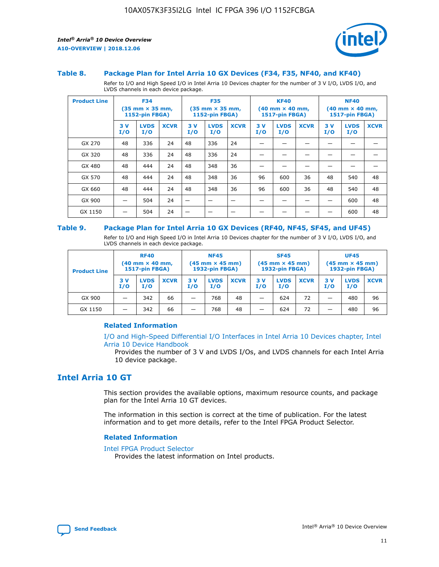

#### **Table 8. Package Plan for Intel Arria 10 GX Devices (F34, F35, NF40, and KF40)**

Refer to I/O and High Speed I/O in Intel Arria 10 Devices chapter for the number of 3 V I/O, LVDS I/O, and LVDS channels in each device package.

| <b>Product Line</b> | <b>F34</b><br>$(35 \text{ mm} \times 35 \text{ mm})$<br><b>1152-pin FBGA)</b> |                    | <b>F35</b><br>$(35 \text{ mm} \times 35 \text{ mm})$<br><b>1152-pin FBGA)</b> |           | <b>KF40</b><br>$(40$ mm $\times$ 40 mm,<br>1517-pin FBGA) |             |           | <b>NF40</b><br>$(40 \text{ mm} \times 40 \text{ mm})$<br>1517-pin FBGA) |             |           |                    |             |
|---------------------|-------------------------------------------------------------------------------|--------------------|-------------------------------------------------------------------------------|-----------|-----------------------------------------------------------|-------------|-----------|-------------------------------------------------------------------------|-------------|-----------|--------------------|-------------|
|                     | 3V<br>I/O                                                                     | <b>LVDS</b><br>I/O | <b>XCVR</b>                                                                   | 3V<br>I/O | <b>LVDS</b><br>I/O                                        | <b>XCVR</b> | 3V<br>I/O | <b>LVDS</b><br>I/O                                                      | <b>XCVR</b> | 3V<br>I/O | <b>LVDS</b><br>I/O | <b>XCVR</b> |
| GX 270              | 48                                                                            | 336                | 24                                                                            | 48        | 336                                                       | 24          |           |                                                                         |             |           |                    |             |
| GX 320              | 48                                                                            | 336                | 24                                                                            | 48        | 336                                                       | 24          |           |                                                                         |             |           |                    |             |
| GX 480              | 48                                                                            | 444                | 24                                                                            | 48        | 348                                                       | 36          |           |                                                                         |             |           |                    |             |
| GX 570              | 48                                                                            | 444                | 24                                                                            | 48        | 348                                                       | 36          | 96        | 600                                                                     | 36          | 48        | 540                | 48          |
| GX 660              | 48                                                                            | 444                | 24                                                                            | 48        | 348                                                       | 36          | 96        | 600                                                                     | 36          | 48        | 540                | 48          |
| GX 900              |                                                                               | 504                | 24                                                                            | –         |                                                           | -           |           |                                                                         |             |           | 600                | 48          |
| GX 1150             |                                                                               | 504                | 24                                                                            |           |                                                           |             |           |                                                                         |             |           | 600                | 48          |

#### **Table 9. Package Plan for Intel Arria 10 GX Devices (RF40, NF45, SF45, and UF45)**

Refer to I/O and High Speed I/O in Intel Arria 10 Devices chapter for the number of 3 V I/O, LVDS I/O, and LVDS channels in each device package.

| <b>Product Line</b> | <b>RF40</b><br>$(40$ mm $\times$ 40 mm,<br>1517-pin FBGA) |                    | <b>NF45</b><br>$(45 \text{ mm} \times 45 \text{ mm})$<br><b>1932-pin FBGA)</b> |            |                    | <b>SF45</b><br>$(45 \text{ mm} \times 45 \text{ mm})$<br><b>1932-pin FBGA)</b> |            |                    | <b>UF45</b><br>$(45 \text{ mm} \times 45 \text{ mm})$<br><b>1932-pin FBGA)</b> |           |                    |             |
|---------------------|-----------------------------------------------------------|--------------------|--------------------------------------------------------------------------------|------------|--------------------|--------------------------------------------------------------------------------|------------|--------------------|--------------------------------------------------------------------------------|-----------|--------------------|-------------|
|                     | 3V<br>I/O                                                 | <b>LVDS</b><br>I/O | <b>XCVR</b>                                                                    | 3 V<br>I/O | <b>LVDS</b><br>I/O | <b>XCVR</b>                                                                    | 3 V<br>I/O | <b>LVDS</b><br>I/O | <b>XCVR</b>                                                                    | 3V<br>I/O | <b>LVDS</b><br>I/O | <b>XCVR</b> |
| GX 900              |                                                           | 342                | 66                                                                             | _          | 768                | 48                                                                             |            | 624                | 72                                                                             |           | 480                | 96          |
| GX 1150             |                                                           | 342                | 66                                                                             | _          | 768                | 48                                                                             |            | 624                | 72                                                                             |           | 480                | 96          |

#### **Related Information**

[I/O and High-Speed Differential I/O Interfaces in Intel Arria 10 Devices chapter, Intel](https://www.intel.com/content/www/us/en/programmable/documentation/sam1403482614086.html#sam1403482030321) [Arria 10 Device Handbook](https://www.intel.com/content/www/us/en/programmable/documentation/sam1403482614086.html#sam1403482030321)

Provides the number of 3 V and LVDS I/Os, and LVDS channels for each Intel Arria 10 device package.

# **Intel Arria 10 GT**

This section provides the available options, maximum resource counts, and package plan for the Intel Arria 10 GT devices.

The information in this section is correct at the time of publication. For the latest information and to get more details, refer to the Intel FPGA Product Selector.

#### **Related Information**

#### [Intel FPGA Product Selector](http://www.altera.com/products/selector/psg-selector.html)

Provides the latest information on Intel products.

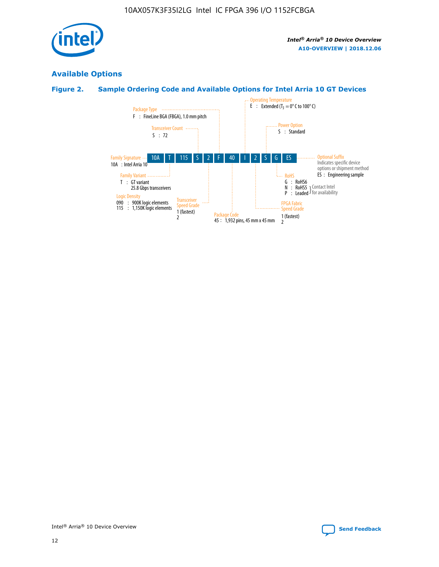

# **Available Options**

# **Figure 2. Sample Ordering Code and Available Options for Intel Arria 10 GT Devices**

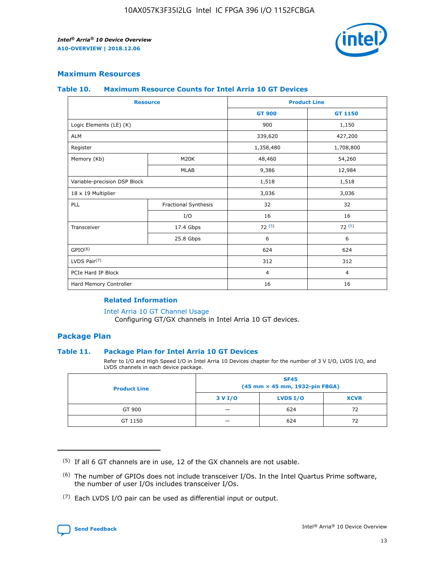

## **Maximum Resources**

#### **Table 10. Maximum Resource Counts for Intel Arria 10 GT Devices**

| <b>Resource</b>              |                      | <b>Product Line</b> |                |  |
|------------------------------|----------------------|---------------------|----------------|--|
|                              |                      | <b>GT 900</b>       | <b>GT 1150</b> |  |
| Logic Elements (LE) (K)      |                      | 900                 | 1,150          |  |
| <b>ALM</b>                   |                      | 339,620             | 427,200        |  |
| Register                     |                      | 1,358,480           | 1,708,800      |  |
| Memory (Kb)                  | M20K                 | 48,460              | 54,260         |  |
|                              | <b>MLAB</b>          | 9,386               | 12,984         |  |
| Variable-precision DSP Block |                      | 1,518               | 1,518          |  |
| 18 x 19 Multiplier           |                      | 3,036               | 3,036          |  |
| PLL                          | Fractional Synthesis | 32                  | 32             |  |
|                              | I/O                  | 16                  | 16             |  |
| Transceiver                  | 17.4 Gbps            | 72(5)               | 72(5)          |  |
|                              | 25.8 Gbps            | 6                   | 6              |  |
| GPIO <sup>(6)</sup>          |                      | 624                 | 624            |  |
| LVDS Pair $(7)$              |                      | 312                 | 312            |  |
| PCIe Hard IP Block           |                      | $\overline{4}$      | $\overline{4}$ |  |
| Hard Memory Controller       |                      | 16                  | 16             |  |

#### **Related Information**

#### [Intel Arria 10 GT Channel Usage](https://www.intel.com/content/www/us/en/programmable/documentation/nik1398707230472.html#nik1398707008178)

Configuring GT/GX channels in Intel Arria 10 GT devices.

## **Package Plan**

#### **Table 11. Package Plan for Intel Arria 10 GT Devices**

Refer to I/O and High Speed I/O in Intel Arria 10 Devices chapter for the number of 3 V I/O, LVDS I/O, and LVDS channels in each device package.

| <b>Product Line</b> | <b>SF45</b><br>(45 mm × 45 mm, 1932-pin FBGA) |                 |             |  |  |  |
|---------------------|-----------------------------------------------|-----------------|-------------|--|--|--|
|                     | 3 V I/O                                       | <b>LVDS I/O</b> | <b>XCVR</b> |  |  |  |
| GT 900              |                                               | 624             | 72          |  |  |  |
| GT 1150             |                                               | 624             | 72          |  |  |  |

<sup>(7)</sup> Each LVDS I/O pair can be used as differential input or output.



 $(5)$  If all 6 GT channels are in use, 12 of the GX channels are not usable.

<sup>(6)</sup> The number of GPIOs does not include transceiver I/Os. In the Intel Quartus Prime software, the number of user I/Os includes transceiver I/Os.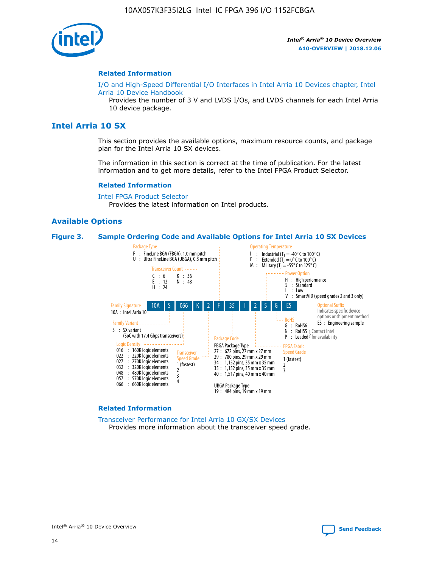

#### **Related Information**

[I/O and High-Speed Differential I/O Interfaces in Intel Arria 10 Devices chapter, Intel](https://www.intel.com/content/www/us/en/programmable/documentation/sam1403482614086.html#sam1403482030321) [Arria 10 Device Handbook](https://www.intel.com/content/www/us/en/programmable/documentation/sam1403482614086.html#sam1403482030321)

Provides the number of 3 V and LVDS I/Os, and LVDS channels for each Intel Arria 10 device package.

# **Intel Arria 10 SX**

This section provides the available options, maximum resource counts, and package plan for the Intel Arria 10 SX devices.

The information in this section is correct at the time of publication. For the latest information and to get more details, refer to the Intel FPGA Product Selector.

#### **Related Information**

[Intel FPGA Product Selector](http://www.altera.com/products/selector/psg-selector.html) Provides the latest information on Intel products.

#### **Available Options**

#### **Figure 3. Sample Ordering Code and Available Options for Intel Arria 10 SX Devices**



#### **Related Information**

[Transceiver Performance for Intel Arria 10 GX/SX Devices](https://www.intel.com/content/www/us/en/programmable/documentation/mcn1413182292568.html#mcn1413213965502) Provides more information about the transceiver speed grade.

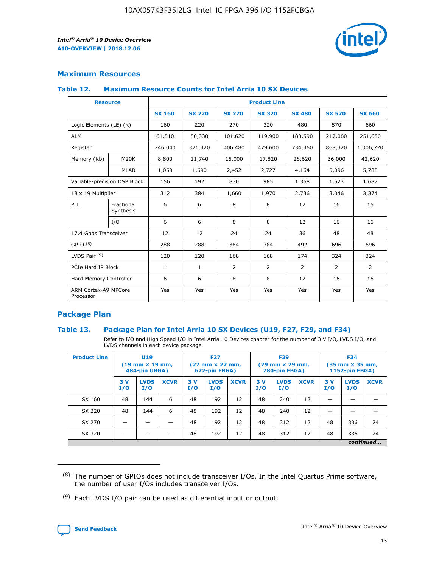

## **Maximum Resources**

#### **Table 12. Maximum Resource Counts for Intel Arria 10 SX Devices**

| <b>Resource</b>                   |                         | <b>Product Line</b> |               |                |                |                |                |                |  |  |  |
|-----------------------------------|-------------------------|---------------------|---------------|----------------|----------------|----------------|----------------|----------------|--|--|--|
|                                   |                         | <b>SX 160</b>       | <b>SX 220</b> | <b>SX 270</b>  | <b>SX 320</b>  | <b>SX 480</b>  | <b>SX 570</b>  | <b>SX 660</b>  |  |  |  |
| Logic Elements (LE) (K)           |                         | 160                 | 220           | 270            | 320            | 480            | 570            | 660            |  |  |  |
| <b>ALM</b>                        |                         | 61,510              | 80,330        | 101,620        | 119,900        | 183,590        | 217,080        | 251,680        |  |  |  |
| Register                          |                         | 246,040             | 321,320       | 406,480        | 479,600        | 734,360        | 868,320        | 1,006,720      |  |  |  |
| Memory (Kb)                       | M <sub>20</sub> K       | 8,800               | 11,740        | 15,000         | 17,820         | 28,620         | 36,000         | 42,620         |  |  |  |
|                                   | <b>MLAB</b>             | 1,050               | 1,690         | 2,452          | 2,727          | 4,164          | 5,096          | 5,788          |  |  |  |
| Variable-precision DSP Block      |                         | 156                 | 192           | 830            | 985            | 1,368          | 1,523          | 1,687          |  |  |  |
| 18 x 19 Multiplier                |                         | 312                 | 384           | 1,660          | 1,970          | 2,736          | 3,046          | 3,374          |  |  |  |
| PLL                               | Fractional<br>Synthesis | 6                   | 6             | 8              | 8              | 12             | 16             | 16             |  |  |  |
|                                   | I/O                     | 6                   | 6             | 8              | 8              | 12             | 16             | 16             |  |  |  |
| 17.4 Gbps Transceiver             |                         | 12                  | 12            | 24             | 24             | 36             | 48             | 48             |  |  |  |
| GPIO <sup>(8)</sup>               |                         | 288                 | 288           | 384            | 384            | 492            | 696            | 696            |  |  |  |
| LVDS Pair $(9)$                   |                         | 120                 | 120           | 168            | 168            | 174            | 324            | 324            |  |  |  |
| PCIe Hard IP Block                |                         | $\mathbf{1}$        | $\mathbf{1}$  | $\overline{2}$ | $\overline{2}$ | $\overline{2}$ | $\overline{2}$ | $\overline{2}$ |  |  |  |
| Hard Memory Controller            |                         | 6                   | 6             | 8              | 8              | 12             | 16             | 16             |  |  |  |
| ARM Cortex-A9 MPCore<br>Processor |                         | Yes                 | Yes           | Yes            | Yes            | Yes            | Yes            | <b>Yes</b>     |  |  |  |

## **Package Plan**

#### **Table 13. Package Plan for Intel Arria 10 SX Devices (U19, F27, F29, and F34)**

Refer to I/O and High Speed I/O in Intel Arria 10 Devices chapter for the number of 3 V I/O, LVDS I/O, and LVDS channels in each device package.

| <b>Product Line</b> | U <sub>19</sub><br>$(19 \text{ mm} \times 19 \text{ mm})$<br>484-pin UBGA) |                    |             | <b>F27</b><br>$(27 \text{ mm} \times 27 \text{ mm})$<br>672-pin FBGA) |                    | <b>F29</b><br>$(29 \text{ mm} \times 29 \text{ mm})$<br>780-pin FBGA) |           |                    | <b>F34</b><br>$(35 \text{ mm} \times 35 \text{ mm})$<br><b>1152-pin FBGA)</b> |           |                    |             |
|---------------------|----------------------------------------------------------------------------|--------------------|-------------|-----------------------------------------------------------------------|--------------------|-----------------------------------------------------------------------|-----------|--------------------|-------------------------------------------------------------------------------|-----------|--------------------|-------------|
|                     | 3V<br>I/O                                                                  | <b>LVDS</b><br>I/O | <b>XCVR</b> | 3V<br>I/O                                                             | <b>LVDS</b><br>I/O | <b>XCVR</b>                                                           | 3V<br>I/O | <b>LVDS</b><br>I/O | <b>XCVR</b>                                                                   | 3V<br>I/O | <b>LVDS</b><br>I/O | <b>XCVR</b> |
| SX 160              | 48                                                                         | 144                | 6           | 48                                                                    | 192                | 12                                                                    | 48        | 240                | 12                                                                            |           |                    |             |
| SX 220              | 48                                                                         | 144                | 6           | 48                                                                    | 192                | 12                                                                    | 48        | 240                | 12                                                                            |           |                    |             |
| SX 270              |                                                                            |                    |             | 48                                                                    | 192                | 12                                                                    | 48        | 312                | 12                                                                            | 48        | 336                | 24          |
| SX 320              |                                                                            |                    |             | 48                                                                    | 192                | 12                                                                    | 48        | 312                | 12                                                                            | 48        | 336                | 24          |
|                     | continued                                                                  |                    |             |                                                                       |                    |                                                                       |           |                    |                                                                               |           |                    |             |

 $(8)$  The number of GPIOs does not include transceiver I/Os. In the Intel Quartus Prime software, the number of user I/Os includes transceiver I/Os.

 $(9)$  Each LVDS I/O pair can be used as differential input or output.

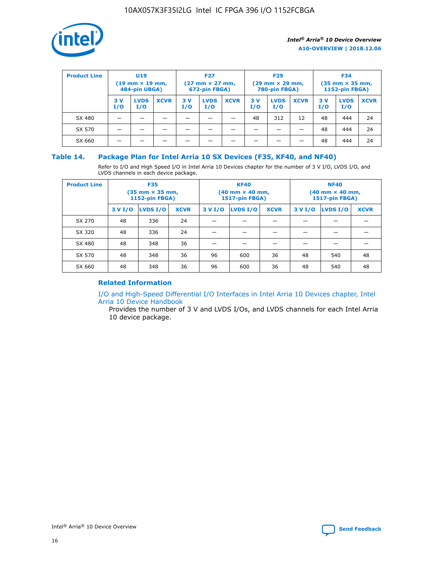

| <b>Product Line</b> | U <sub>19</sub><br>$(19 \text{ mm} \times 19 \text{ mm})$<br>484-pin UBGA) |                    |             | <b>F27</b><br>$(27 \text{ mm} \times 27 \text{ mm})$<br>672-pin FBGA) |                    |             | <b>F29</b><br>$(29 \text{ mm} \times 29 \text{ mm})$<br>780-pin FBGA) |                    |             | <b>F34</b><br>$(35$ mm $\times$ 35 mm,<br><b>1152-pin FBGA)</b> |                    |             |
|---------------------|----------------------------------------------------------------------------|--------------------|-------------|-----------------------------------------------------------------------|--------------------|-------------|-----------------------------------------------------------------------|--------------------|-------------|-----------------------------------------------------------------|--------------------|-------------|
|                     | 3 V<br>I/O                                                                 | <b>LVDS</b><br>I/O | <b>XCVR</b> | 3 V<br>I/O                                                            | <b>LVDS</b><br>I/O | <b>XCVR</b> | 3V<br>I/O                                                             | <b>LVDS</b><br>I/O | <b>XCVR</b> | 3V<br>I/O                                                       | <b>LVDS</b><br>I/O | <b>XCVR</b> |
| SX 480              |                                                                            |                    |             |                                                                       |                    |             | 48                                                                    | 312                | 12          | 48                                                              | 444                | 24          |
| SX 570              |                                                                            |                    |             |                                                                       |                    |             |                                                                       |                    |             | 48                                                              | 444                | 24          |
| SX 660              |                                                                            |                    |             |                                                                       |                    |             |                                                                       |                    |             | 48                                                              | 444                | 24          |

## **Table 14. Package Plan for Intel Arria 10 SX Devices (F35, KF40, and NF40)**

Refer to I/O and High Speed I/O in Intel Arria 10 Devices chapter for the number of 3 V I/O, LVDS I/O, and LVDS channels in each device package.

| <b>Product Line</b> | <b>F35</b><br>(35 mm × 35 mm,<br><b>1152-pin FBGA)</b> |          |             |                                           | <b>KF40</b><br>(40 mm × 40 mm,<br>1517-pin FBGA) |    | <b>NF40</b><br>$(40 \text{ mm} \times 40 \text{ mm})$<br>1517-pin FBGA) |          |             |  |
|---------------------|--------------------------------------------------------|----------|-------------|-------------------------------------------|--------------------------------------------------|----|-------------------------------------------------------------------------|----------|-------------|--|
|                     | 3 V I/O                                                | LVDS I/O | <b>XCVR</b> | <b>LVDS I/O</b><br>3 V I/O<br><b>XCVR</b> |                                                  |    | 3 V I/O                                                                 | LVDS I/O | <b>XCVR</b> |  |
| SX 270              | 48                                                     | 336      | 24          |                                           |                                                  |    |                                                                         |          |             |  |
| SX 320              | 48                                                     | 336      | 24          |                                           |                                                  |    |                                                                         |          |             |  |
| SX 480              | 48                                                     | 348      | 36          |                                           |                                                  |    |                                                                         |          |             |  |
| SX 570              | 48                                                     | 348      | 36          | 96                                        | 600                                              | 36 | 48                                                                      | 540      | 48          |  |
| SX 660              | 48                                                     | 348      | 36          | 96                                        | 600                                              | 36 | 48                                                                      | 540      | 48          |  |

# **Related Information**

[I/O and High-Speed Differential I/O Interfaces in Intel Arria 10 Devices chapter, Intel](https://www.intel.com/content/www/us/en/programmable/documentation/sam1403482614086.html#sam1403482030321) [Arria 10 Device Handbook](https://www.intel.com/content/www/us/en/programmable/documentation/sam1403482614086.html#sam1403482030321)

Provides the number of 3 V and LVDS I/Os, and LVDS channels for each Intel Arria 10 device package.

Intel<sup>®</sup> Arria<sup>®</sup> 10 Device Overview **[Send Feedback](mailto:FPGAtechdocfeedback@intel.com?subject=Feedback%20on%20Intel%20Arria%2010%20Device%20Overview%20(A10-OVERVIEW%202018.12.06)&body=We%20appreciate%20your%20feedback.%20In%20your%20comments,%20also%20specify%20the%20page%20number%20or%20paragraph.%20Thank%20you.)** Send Feedback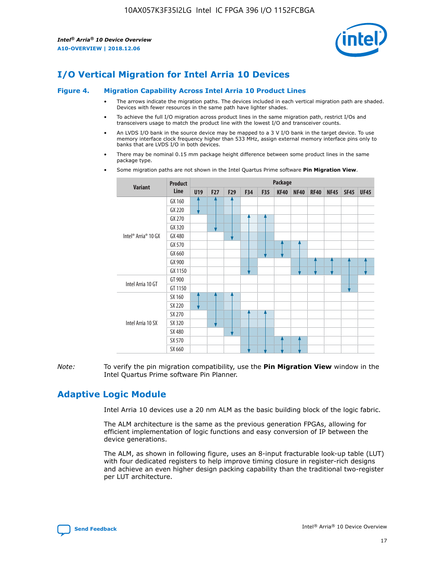

# **I/O Vertical Migration for Intel Arria 10 Devices**

#### **Figure 4. Migration Capability Across Intel Arria 10 Product Lines**

- The arrows indicate the migration paths. The devices included in each vertical migration path are shaded. Devices with fewer resources in the same path have lighter shades.
- To achieve the full I/O migration across product lines in the same migration path, restrict I/Os and transceivers usage to match the product line with the lowest I/O and transceiver counts.
- An LVDS I/O bank in the source device may be mapped to a 3 V I/O bank in the target device. To use memory interface clock frequency higher than 533 MHz, assign external memory interface pins only to banks that are LVDS I/O in both devices.
- There may be nominal 0.15 mm package height difference between some product lines in the same package type.
	- **Variant Product Line Package U19 F27 F29 F34 F35 KF40 NF40 RF40 NF45 SF45 UF45** Intel® Arria® 10 GX GX 160 GX 220 GX 270 GX 320 GX 480 GX 570 GX 660 GX 900 GX 1150 Intel Arria 10 GT GT 900 GT 1150 Intel Arria 10 SX SX 160 SX 220 SX 270 SX 320 SX 480 SX 570 SX 660
- Some migration paths are not shown in the Intel Quartus Prime software **Pin Migration View**.

*Note:* To verify the pin migration compatibility, use the **Pin Migration View** window in the Intel Quartus Prime software Pin Planner.

# **Adaptive Logic Module**

Intel Arria 10 devices use a 20 nm ALM as the basic building block of the logic fabric.

The ALM architecture is the same as the previous generation FPGAs, allowing for efficient implementation of logic functions and easy conversion of IP between the device generations.

The ALM, as shown in following figure, uses an 8-input fracturable look-up table (LUT) with four dedicated registers to help improve timing closure in register-rich designs and achieve an even higher design packing capability than the traditional two-register per LUT architecture.

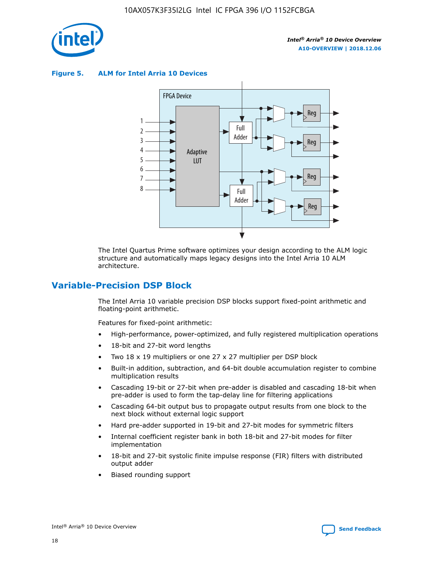

**Figure 5. ALM for Intel Arria 10 Devices**



The Intel Quartus Prime software optimizes your design according to the ALM logic structure and automatically maps legacy designs into the Intel Arria 10 ALM architecture.

# **Variable-Precision DSP Block**

The Intel Arria 10 variable precision DSP blocks support fixed-point arithmetic and floating-point arithmetic.

Features for fixed-point arithmetic:

- High-performance, power-optimized, and fully registered multiplication operations
- 18-bit and 27-bit word lengths
- Two 18 x 19 multipliers or one 27 x 27 multiplier per DSP block
- Built-in addition, subtraction, and 64-bit double accumulation register to combine multiplication results
- Cascading 19-bit or 27-bit when pre-adder is disabled and cascading 18-bit when pre-adder is used to form the tap-delay line for filtering applications
- Cascading 64-bit output bus to propagate output results from one block to the next block without external logic support
- Hard pre-adder supported in 19-bit and 27-bit modes for symmetric filters
- Internal coefficient register bank in both 18-bit and 27-bit modes for filter implementation
- 18-bit and 27-bit systolic finite impulse response (FIR) filters with distributed output adder
- Biased rounding support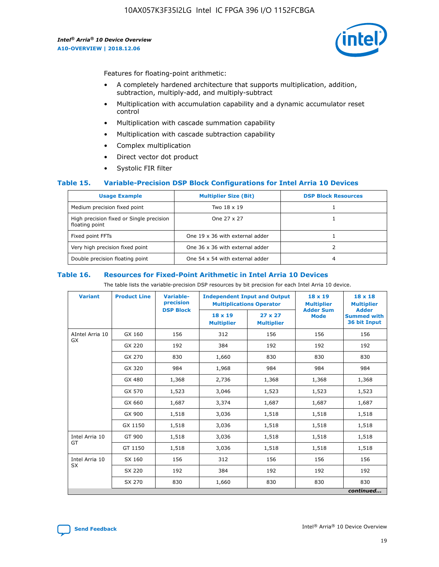

Features for floating-point arithmetic:

- A completely hardened architecture that supports multiplication, addition, subtraction, multiply-add, and multiply-subtract
- Multiplication with accumulation capability and a dynamic accumulator reset control
- Multiplication with cascade summation capability
- Multiplication with cascade subtraction capability
- Complex multiplication
- Direct vector dot product
- Systolic FIR filter

#### **Table 15. Variable-Precision DSP Block Configurations for Intel Arria 10 Devices**

| <b>Usage Example</b>                                       | <b>Multiplier Size (Bit)</b>    | <b>DSP Block Resources</b> |
|------------------------------------------------------------|---------------------------------|----------------------------|
| Medium precision fixed point                               | Two 18 x 19                     |                            |
| High precision fixed or Single precision<br>floating point | One 27 x 27                     |                            |
| Fixed point FFTs                                           | One 19 x 36 with external adder |                            |
| Very high precision fixed point                            | One 36 x 36 with external adder |                            |
| Double precision floating point                            | One 54 x 54 with external adder | 4                          |

#### **Table 16. Resources for Fixed-Point Arithmetic in Intel Arria 10 Devices**

The table lists the variable-precision DSP resources by bit precision for each Intel Arria 10 device.

| <b>Variant</b>  | <b>Product Line</b> | Variable-<br>precision | <b>Independent Input and Output</b><br><b>Multiplications Operator</b> |                                     | $18 \times 19$<br><b>Multiplier</b><br><b>Adder Sum</b> | $18 \times 18$<br><b>Multiplier</b>                |
|-----------------|---------------------|------------------------|------------------------------------------------------------------------|-------------------------------------|---------------------------------------------------------|----------------------------------------------------|
|                 |                     | <b>DSP Block</b>       | 18 x 19<br><b>Multiplier</b>                                           | $27 \times 27$<br><b>Multiplier</b> | <b>Mode</b>                                             | <b>Adder</b><br><b>Summed with</b><br>36 bit Input |
| AIntel Arria 10 | GX 160              | 156                    | 312                                                                    | 156                                 | 156                                                     | 156                                                |
| GX              | GX 220              | 192                    | 384                                                                    | 192                                 | 192                                                     | 192                                                |
|                 | GX 270              | 830                    | 1,660                                                                  | 830                                 | 830                                                     | 830                                                |
|                 | GX 320              | 984                    | 1,968                                                                  | 984                                 | 984                                                     | 984                                                |
|                 | GX 480              | 1,368                  | 2,736                                                                  | 1,368                               | 1,368                                                   | 1,368                                              |
|                 | GX 570              | 1,523                  | 3,046                                                                  | 1,523                               | 1,523                                                   | 1,523                                              |
|                 | GX 660              | 1,687                  | 3,374                                                                  | 1,687                               | 1,687                                                   | 1,687                                              |
|                 | GX 900              | 1,518                  | 3,036                                                                  | 1,518                               | 1,518                                                   | 1,518                                              |
|                 | GX 1150             | 1,518                  | 3,036                                                                  | 1,518                               | 1,518                                                   | 1,518                                              |
| Intel Arria 10  | GT 900              | 1,518                  | 3,036                                                                  | 1,518                               | 1,518                                                   | 1,518                                              |
| GT              | GT 1150             | 1,518                  | 3,036                                                                  | 1,518                               | 1,518                                                   | 1,518                                              |
| Intel Arria 10  | SX 160              | 156                    | 312                                                                    | 156                                 | 156                                                     | 156                                                |
| <b>SX</b>       | SX 220              | 192                    | 384                                                                    | 192                                 | 192                                                     | 192                                                |
|                 | SX 270              | 830                    | 1,660                                                                  | 830                                 | 830                                                     | 830                                                |
|                 |                     |                        |                                                                        |                                     |                                                         | continued                                          |

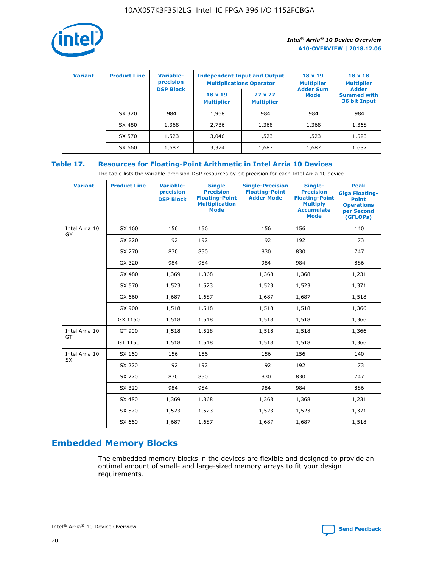

| <b>Variant</b> | <b>Product Line</b> | <b>Variable-</b><br>precision |                                     | <b>Independent Input and Output</b><br><b>Multiplications Operator</b> | $18 \times 19$<br><b>Multiplier</b> | $18 \times 18$<br><b>Multiplier</b>                |
|----------------|---------------------|-------------------------------|-------------------------------------|------------------------------------------------------------------------|-------------------------------------|----------------------------------------------------|
|                |                     | <b>DSP Block</b>              | $18 \times 19$<br><b>Multiplier</b> | $27 \times 27$<br><b>Multiplier</b>                                    | <b>Adder Sum</b><br>Mode            | <b>Adder</b><br><b>Summed with</b><br>36 bit Input |
|                | SX 320              | 984                           | 1,968                               | 984                                                                    | 984                                 | 984                                                |
|                | SX 480              | 1,368                         | 2,736                               | 1,368                                                                  | 1,368                               | 1,368                                              |
|                | SX 570              | 1,523                         | 3,046                               | 1,523                                                                  | 1,523                               | 1,523                                              |
|                | SX 660              | 1,687                         | 3,374                               | 1,687                                                                  | 1,687                               | 1,687                                              |

# **Table 17. Resources for Floating-Point Arithmetic in Intel Arria 10 Devices**

The table lists the variable-precision DSP resources by bit precision for each Intel Arria 10 device.

| <b>Variant</b> | <b>Product Line</b> | <b>Variable-</b><br>precision<br><b>DSP Block</b> | <b>Single</b><br><b>Precision</b><br><b>Floating-Point</b><br><b>Multiplication</b><br><b>Mode</b> | <b>Single-Precision</b><br><b>Floating-Point</b><br><b>Adder Mode</b> | Single-<br><b>Precision</b><br><b>Floating-Point</b><br><b>Multiply</b><br><b>Accumulate</b><br><b>Mode</b> | <b>Peak</b><br><b>Giga Floating-</b><br><b>Point</b><br><b>Operations</b><br>per Second<br>(GFLOPs) |
|----------------|---------------------|---------------------------------------------------|----------------------------------------------------------------------------------------------------|-----------------------------------------------------------------------|-------------------------------------------------------------------------------------------------------------|-----------------------------------------------------------------------------------------------------|
| Intel Arria 10 | GX 160              | 156                                               | 156                                                                                                | 156                                                                   | 156                                                                                                         | 140                                                                                                 |
| GX             | GX 220              | 192                                               | 192                                                                                                | 192                                                                   | 192                                                                                                         | 173                                                                                                 |
|                | GX 270              | 830                                               | 830                                                                                                | 830                                                                   | 830                                                                                                         | 747                                                                                                 |
|                | GX 320              | 984                                               | 984                                                                                                | 984                                                                   | 984                                                                                                         | 886                                                                                                 |
|                | GX 480              | 1,369                                             | 1,368                                                                                              | 1,368                                                                 | 1,368                                                                                                       | 1,231                                                                                               |
|                | GX 570              | 1,523                                             | 1,523                                                                                              | 1,523                                                                 | 1,523                                                                                                       | 1,371                                                                                               |
|                | GX 660              | 1,687                                             | 1,687                                                                                              | 1,687                                                                 | 1,687                                                                                                       | 1,518                                                                                               |
|                | GX 900              | 1,518                                             | 1,518                                                                                              | 1,518                                                                 | 1,518                                                                                                       | 1,366                                                                                               |
|                | GX 1150             | 1,518                                             | 1,518                                                                                              | 1,518                                                                 | 1,518                                                                                                       | 1,366                                                                                               |
| Intel Arria 10 | GT 900              | 1,518                                             | 1,518                                                                                              | 1,518                                                                 | 1,518                                                                                                       | 1,366                                                                                               |
| GT             | GT 1150             | 1,518                                             | 1,518                                                                                              | 1,518                                                                 | 1,518                                                                                                       | 1,366                                                                                               |
| Intel Arria 10 | SX 160              | 156                                               | 156                                                                                                | 156                                                                   | 156                                                                                                         | 140                                                                                                 |
| SX             | SX 220              | 192                                               | 192                                                                                                | 192                                                                   | 192                                                                                                         | 173                                                                                                 |
|                | SX 270              | 830                                               | 830                                                                                                | 830                                                                   | 830                                                                                                         | 747                                                                                                 |
|                | SX 320              | 984                                               | 984                                                                                                | 984                                                                   | 984                                                                                                         | 886                                                                                                 |
|                | SX 480              | 1,369                                             | 1,368                                                                                              | 1,368                                                                 | 1,368                                                                                                       | 1,231                                                                                               |
|                | SX 570              | 1,523                                             | 1,523                                                                                              | 1,523                                                                 | 1,523                                                                                                       | 1,371                                                                                               |
|                | SX 660              | 1,687                                             | 1,687                                                                                              | 1,687                                                                 | 1,687                                                                                                       | 1,518                                                                                               |

# **Embedded Memory Blocks**

The embedded memory blocks in the devices are flexible and designed to provide an optimal amount of small- and large-sized memory arrays to fit your design requirements.

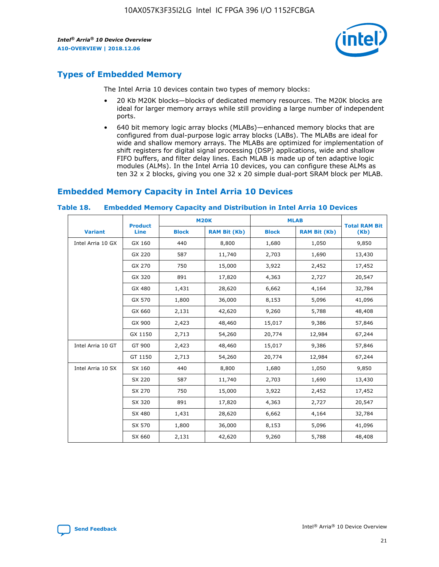

# **Types of Embedded Memory**

The Intel Arria 10 devices contain two types of memory blocks:

- 20 Kb M20K blocks—blocks of dedicated memory resources. The M20K blocks are ideal for larger memory arrays while still providing a large number of independent ports.
- 640 bit memory logic array blocks (MLABs)—enhanced memory blocks that are configured from dual-purpose logic array blocks (LABs). The MLABs are ideal for wide and shallow memory arrays. The MLABs are optimized for implementation of shift registers for digital signal processing (DSP) applications, wide and shallow FIFO buffers, and filter delay lines. Each MLAB is made up of ten adaptive logic modules (ALMs). In the Intel Arria 10 devices, you can configure these ALMs as ten 32 x 2 blocks, giving you one 32 x 20 simple dual-port SRAM block per MLAB.

# **Embedded Memory Capacity in Intel Arria 10 Devices**

|                   | <b>Product</b> |              | <b>M20K</b>         | <b>MLAB</b>  |                     | <b>Total RAM Bit</b> |
|-------------------|----------------|--------------|---------------------|--------------|---------------------|----------------------|
| <b>Variant</b>    | Line           | <b>Block</b> | <b>RAM Bit (Kb)</b> | <b>Block</b> | <b>RAM Bit (Kb)</b> | (Kb)                 |
| Intel Arria 10 GX | GX 160         | 440          | 8,800               | 1,680        | 1,050               | 9,850                |
|                   | GX 220         | 587          | 11,740              | 2,703        | 1,690               | 13,430               |
|                   | GX 270         | 750          | 15,000              | 3,922        | 2,452               | 17,452               |
|                   | GX 320         | 891          | 17,820              | 4,363        | 2,727               | 20,547               |
|                   | GX 480         | 1,431        | 28,620              | 6,662        | 4,164               | 32,784               |
|                   | GX 570         | 1,800        | 36,000              | 8,153        | 5,096               | 41,096               |
|                   | GX 660         | 2,131        | 42,620              | 9,260        | 5,788               | 48,408               |
|                   | GX 900         | 2,423        | 48,460              | 15,017       | 9,386               | 57,846               |
|                   | GX 1150        | 2,713        | 54,260              | 20,774       | 12,984              | 67,244               |
| Intel Arria 10 GT | GT 900         | 2,423        | 48,460              | 15,017       | 9,386               | 57,846               |
|                   | GT 1150        | 2,713        | 54,260              | 20,774       | 12,984              | 67,244               |
| Intel Arria 10 SX | SX 160         | 440          | 8,800               | 1,680        | 1,050               | 9,850                |
|                   | SX 220         | 587          | 11,740              | 2,703        | 1,690               | 13,430               |
|                   | SX 270         | 750          | 15,000              | 3,922        | 2,452               | 17,452               |
|                   | SX 320         | 891          | 17,820              | 4,363        | 2,727               | 20,547               |
|                   | SX 480         | 1,431        | 28,620              | 6,662        | 4,164               | 32,784               |
|                   | SX 570         | 1,800        | 36,000              | 8,153        | 5,096               | 41,096               |
|                   | SX 660         | 2,131        | 42,620              | 9,260        | 5,788               | 48,408               |

#### **Table 18. Embedded Memory Capacity and Distribution in Intel Arria 10 Devices**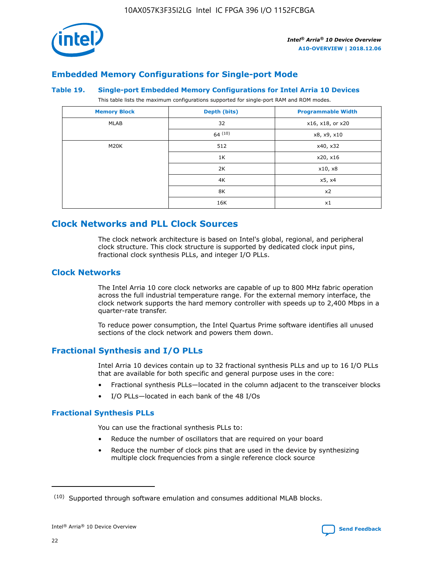

# **Embedded Memory Configurations for Single-port Mode**

#### **Table 19. Single-port Embedded Memory Configurations for Intel Arria 10 Devices**

This table lists the maximum configurations supported for single-port RAM and ROM modes.

| <b>Memory Block</b> | Depth (bits)           | <b>Programmable Width</b> |
|---------------------|------------------------|---------------------------|
| MLAB                | 32<br>x16, x18, or x20 |                           |
|                     | 64(10)                 | x8, x9, x10               |
| M20K                | 512                    | x40, x32                  |
|                     | 1K                     | x20, x16                  |
|                     | 2K                     | x10, x8                   |
|                     | 4K                     | x5, x4                    |
|                     | 8K                     | x2                        |
|                     | 16K                    | x1                        |

# **Clock Networks and PLL Clock Sources**

The clock network architecture is based on Intel's global, regional, and peripheral clock structure. This clock structure is supported by dedicated clock input pins, fractional clock synthesis PLLs, and integer I/O PLLs.

## **Clock Networks**

The Intel Arria 10 core clock networks are capable of up to 800 MHz fabric operation across the full industrial temperature range. For the external memory interface, the clock network supports the hard memory controller with speeds up to 2,400 Mbps in a quarter-rate transfer.

To reduce power consumption, the Intel Quartus Prime software identifies all unused sections of the clock network and powers them down.

# **Fractional Synthesis and I/O PLLs**

Intel Arria 10 devices contain up to 32 fractional synthesis PLLs and up to 16 I/O PLLs that are available for both specific and general purpose uses in the core:

- Fractional synthesis PLLs—located in the column adjacent to the transceiver blocks
- I/O PLLs—located in each bank of the 48 I/Os

## **Fractional Synthesis PLLs**

You can use the fractional synthesis PLLs to:

- Reduce the number of oscillators that are required on your board
- Reduce the number of clock pins that are used in the device by synthesizing multiple clock frequencies from a single reference clock source

<sup>(10)</sup> Supported through software emulation and consumes additional MLAB blocks.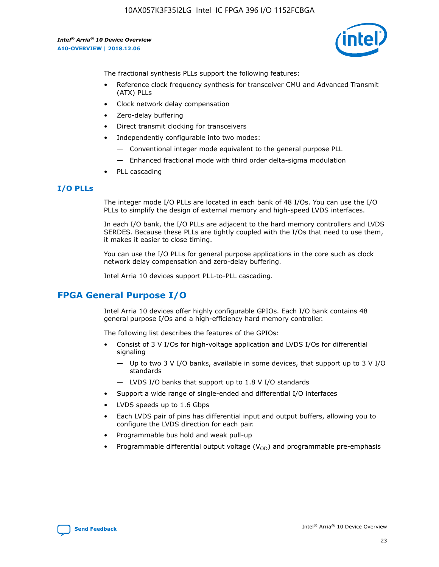

The fractional synthesis PLLs support the following features:

- Reference clock frequency synthesis for transceiver CMU and Advanced Transmit (ATX) PLLs
- Clock network delay compensation
- Zero-delay buffering
- Direct transmit clocking for transceivers
- Independently configurable into two modes:
	- Conventional integer mode equivalent to the general purpose PLL
	- Enhanced fractional mode with third order delta-sigma modulation
- PLL cascading

## **I/O PLLs**

The integer mode I/O PLLs are located in each bank of 48 I/Os. You can use the I/O PLLs to simplify the design of external memory and high-speed LVDS interfaces.

In each I/O bank, the I/O PLLs are adjacent to the hard memory controllers and LVDS SERDES. Because these PLLs are tightly coupled with the I/Os that need to use them, it makes it easier to close timing.

You can use the I/O PLLs for general purpose applications in the core such as clock network delay compensation and zero-delay buffering.

Intel Arria 10 devices support PLL-to-PLL cascading.

# **FPGA General Purpose I/O**

Intel Arria 10 devices offer highly configurable GPIOs. Each I/O bank contains 48 general purpose I/Os and a high-efficiency hard memory controller.

The following list describes the features of the GPIOs:

- Consist of 3 V I/Os for high-voltage application and LVDS I/Os for differential signaling
	- Up to two 3 V I/O banks, available in some devices, that support up to 3 V I/O standards
	- LVDS I/O banks that support up to 1.8 V I/O standards
- Support a wide range of single-ended and differential I/O interfaces
- LVDS speeds up to 1.6 Gbps
- Each LVDS pair of pins has differential input and output buffers, allowing you to configure the LVDS direction for each pair.
- Programmable bus hold and weak pull-up
- Programmable differential output voltage  $(V_{OD})$  and programmable pre-emphasis

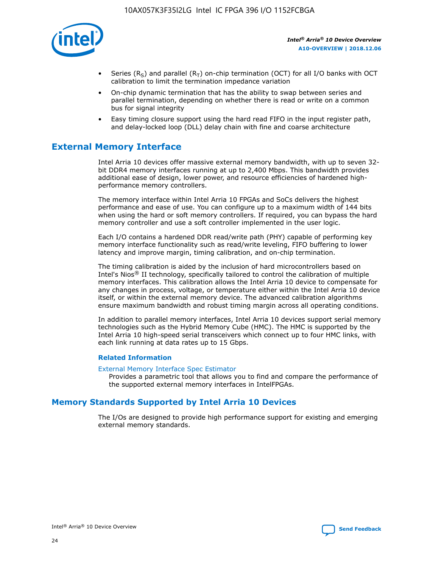

- Series (R<sub>S</sub>) and parallel (R<sub>T</sub>) on-chip termination (OCT) for all I/O banks with OCT calibration to limit the termination impedance variation
- On-chip dynamic termination that has the ability to swap between series and parallel termination, depending on whether there is read or write on a common bus for signal integrity
- Easy timing closure support using the hard read FIFO in the input register path, and delay-locked loop (DLL) delay chain with fine and coarse architecture

# **External Memory Interface**

Intel Arria 10 devices offer massive external memory bandwidth, with up to seven 32 bit DDR4 memory interfaces running at up to 2,400 Mbps. This bandwidth provides additional ease of design, lower power, and resource efficiencies of hardened highperformance memory controllers.

The memory interface within Intel Arria 10 FPGAs and SoCs delivers the highest performance and ease of use. You can configure up to a maximum width of 144 bits when using the hard or soft memory controllers. If required, you can bypass the hard memory controller and use a soft controller implemented in the user logic.

Each I/O contains a hardened DDR read/write path (PHY) capable of performing key memory interface functionality such as read/write leveling, FIFO buffering to lower latency and improve margin, timing calibration, and on-chip termination.

The timing calibration is aided by the inclusion of hard microcontrollers based on Intel's Nios® II technology, specifically tailored to control the calibration of multiple memory interfaces. This calibration allows the Intel Arria 10 device to compensate for any changes in process, voltage, or temperature either within the Intel Arria 10 device itself, or within the external memory device. The advanced calibration algorithms ensure maximum bandwidth and robust timing margin across all operating conditions.

In addition to parallel memory interfaces, Intel Arria 10 devices support serial memory technologies such as the Hybrid Memory Cube (HMC). The HMC is supported by the Intel Arria 10 high-speed serial transceivers which connect up to four HMC links, with each link running at data rates up to 15 Gbps.

#### **Related Information**

#### [External Memory Interface Spec Estimator](http://www.altera.com/technology/memory/estimator/mem-emif-index.html)

Provides a parametric tool that allows you to find and compare the performance of the supported external memory interfaces in IntelFPGAs.

# **Memory Standards Supported by Intel Arria 10 Devices**

The I/Os are designed to provide high performance support for existing and emerging external memory standards.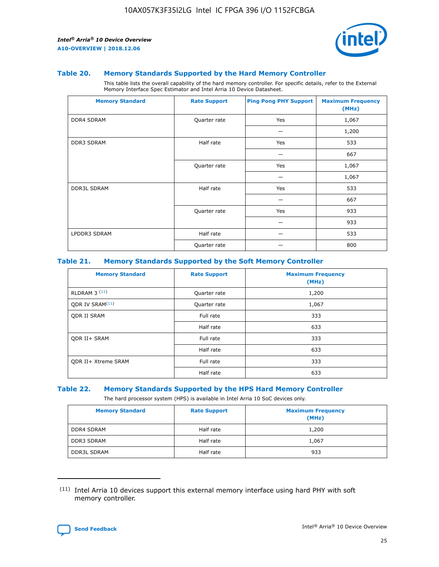

#### **Table 20. Memory Standards Supported by the Hard Memory Controller**

This table lists the overall capability of the hard memory controller. For specific details, refer to the External Memory Interface Spec Estimator and Intel Arria 10 Device Datasheet.

| <b>Memory Standard</b> | <b>Rate Support</b> | <b>Ping Pong PHY Support</b> | <b>Maximum Frequency</b><br>(MHz) |
|------------------------|---------------------|------------------------------|-----------------------------------|
| <b>DDR4 SDRAM</b>      | Quarter rate        | Yes                          | 1,067                             |
|                        |                     |                              | 1,200                             |
| <b>DDR3 SDRAM</b>      | Half rate           | Yes                          | 533                               |
|                        |                     |                              | 667                               |
|                        | Quarter rate        | Yes                          | 1,067                             |
|                        |                     |                              | 1,067                             |
| <b>DDR3L SDRAM</b>     | Half rate           | Yes                          | 533                               |
|                        |                     |                              | 667                               |
|                        | Quarter rate        | Yes                          | 933                               |
|                        |                     |                              | 933                               |
| LPDDR3 SDRAM           | Half rate           |                              | 533                               |
|                        | Quarter rate        |                              | 800                               |

#### **Table 21. Memory Standards Supported by the Soft Memory Controller**

| <b>Memory Standard</b>      | <b>Rate Support</b> | <b>Maximum Frequency</b><br>(MHz) |
|-----------------------------|---------------------|-----------------------------------|
| <b>RLDRAM 3 (11)</b>        | Quarter rate        | 1,200                             |
| ODR IV SRAM <sup>(11)</sup> | Quarter rate        | 1,067                             |
| <b>ODR II SRAM</b>          | Full rate           | 333                               |
|                             | Half rate           | 633                               |
| <b>ODR II+ SRAM</b>         | Full rate           | 333                               |
|                             | Half rate           | 633                               |
| <b>ODR II+ Xtreme SRAM</b>  | Full rate           | 333                               |
|                             | Half rate           | 633                               |

#### **Table 22. Memory Standards Supported by the HPS Hard Memory Controller**

The hard processor system (HPS) is available in Intel Arria 10 SoC devices only.

| <b>Memory Standard</b> | <b>Rate Support</b> | <b>Maximum Frequency</b><br>(MHz) |
|------------------------|---------------------|-----------------------------------|
| <b>DDR4 SDRAM</b>      | Half rate           | 1,200                             |
| <b>DDR3 SDRAM</b>      | Half rate           | 1,067                             |
| <b>DDR3L SDRAM</b>     | Half rate           | 933                               |

<sup>(11)</sup> Intel Arria 10 devices support this external memory interface using hard PHY with soft memory controller.

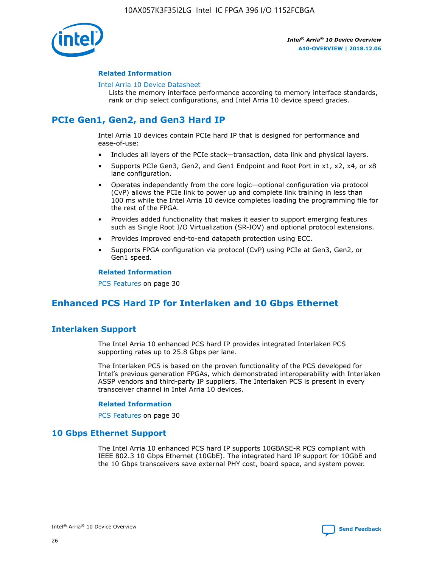

#### **Related Information**

#### [Intel Arria 10 Device Datasheet](https://www.intel.com/content/www/us/en/programmable/documentation/mcn1413182292568.html#mcn1413182153340)

Lists the memory interface performance according to memory interface standards, rank or chip select configurations, and Intel Arria 10 device speed grades.

# **PCIe Gen1, Gen2, and Gen3 Hard IP**

Intel Arria 10 devices contain PCIe hard IP that is designed for performance and ease-of-use:

- Includes all layers of the PCIe stack—transaction, data link and physical layers.
- Supports PCIe Gen3, Gen2, and Gen1 Endpoint and Root Port in x1, x2, x4, or x8 lane configuration.
- Operates independently from the core logic—optional configuration via protocol (CvP) allows the PCIe link to power up and complete link training in less than 100 ms while the Intel Arria 10 device completes loading the programming file for the rest of the FPGA.
- Provides added functionality that makes it easier to support emerging features such as Single Root I/O Virtualization (SR-IOV) and optional protocol extensions.
- Provides improved end-to-end datapath protection using ECC.
- Supports FPGA configuration via protocol (CvP) using PCIe at Gen3, Gen2, or Gen1 speed.

#### **Related Information**

PCS Features on page 30

# **Enhanced PCS Hard IP for Interlaken and 10 Gbps Ethernet**

# **Interlaken Support**

The Intel Arria 10 enhanced PCS hard IP provides integrated Interlaken PCS supporting rates up to 25.8 Gbps per lane.

The Interlaken PCS is based on the proven functionality of the PCS developed for Intel's previous generation FPGAs, which demonstrated interoperability with Interlaken ASSP vendors and third-party IP suppliers. The Interlaken PCS is present in every transceiver channel in Intel Arria 10 devices.

#### **Related Information**

PCS Features on page 30

## **10 Gbps Ethernet Support**

The Intel Arria 10 enhanced PCS hard IP supports 10GBASE-R PCS compliant with IEEE 802.3 10 Gbps Ethernet (10GbE). The integrated hard IP support for 10GbE and the 10 Gbps transceivers save external PHY cost, board space, and system power.

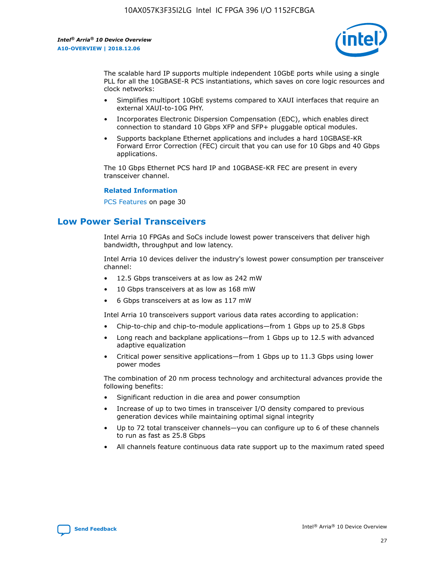

The scalable hard IP supports multiple independent 10GbE ports while using a single PLL for all the 10GBASE-R PCS instantiations, which saves on core logic resources and clock networks:

- Simplifies multiport 10GbE systems compared to XAUI interfaces that require an external XAUI-to-10G PHY.
- Incorporates Electronic Dispersion Compensation (EDC), which enables direct connection to standard 10 Gbps XFP and SFP+ pluggable optical modules.
- Supports backplane Ethernet applications and includes a hard 10GBASE-KR Forward Error Correction (FEC) circuit that you can use for 10 Gbps and 40 Gbps applications.

The 10 Gbps Ethernet PCS hard IP and 10GBASE-KR FEC are present in every transceiver channel.

#### **Related Information**

PCS Features on page 30

# **Low Power Serial Transceivers**

Intel Arria 10 FPGAs and SoCs include lowest power transceivers that deliver high bandwidth, throughput and low latency.

Intel Arria 10 devices deliver the industry's lowest power consumption per transceiver channel:

- 12.5 Gbps transceivers at as low as 242 mW
- 10 Gbps transceivers at as low as 168 mW
- 6 Gbps transceivers at as low as 117 mW

Intel Arria 10 transceivers support various data rates according to application:

- Chip-to-chip and chip-to-module applications—from 1 Gbps up to 25.8 Gbps
- Long reach and backplane applications—from 1 Gbps up to 12.5 with advanced adaptive equalization
- Critical power sensitive applications—from 1 Gbps up to 11.3 Gbps using lower power modes

The combination of 20 nm process technology and architectural advances provide the following benefits:

- Significant reduction in die area and power consumption
- Increase of up to two times in transceiver I/O density compared to previous generation devices while maintaining optimal signal integrity
- Up to 72 total transceiver channels—you can configure up to 6 of these channels to run as fast as 25.8 Gbps
- All channels feature continuous data rate support up to the maximum rated speed

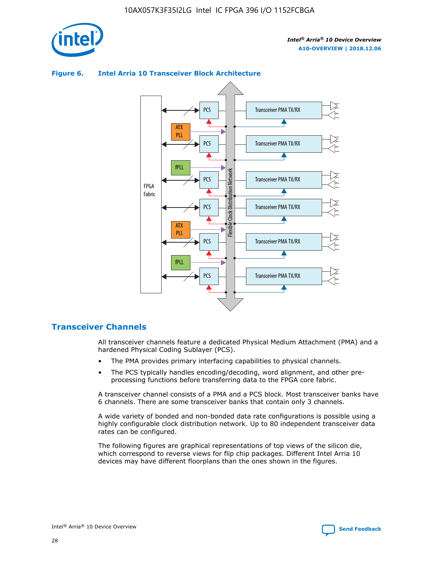



## **Figure 6. Intel Arria 10 Transceiver Block Architecture**

# **Transceiver Channels**

All transceiver channels feature a dedicated Physical Medium Attachment (PMA) and a hardened Physical Coding Sublayer (PCS).

- The PMA provides primary interfacing capabilities to physical channels.
- The PCS typically handles encoding/decoding, word alignment, and other preprocessing functions before transferring data to the FPGA core fabric.

A transceiver channel consists of a PMA and a PCS block. Most transceiver banks have 6 channels. There are some transceiver banks that contain only 3 channels.

A wide variety of bonded and non-bonded data rate configurations is possible using a highly configurable clock distribution network. Up to 80 independent transceiver data rates can be configured.

The following figures are graphical representations of top views of the silicon die, which correspond to reverse views for flip chip packages. Different Intel Arria 10 devices may have different floorplans than the ones shown in the figures.

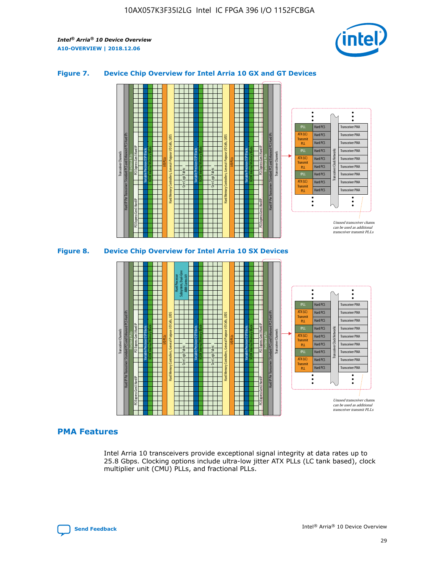

## **Figure 7. Device Chip Overview for Intel Arria 10 GX and GT Devices**



M20K Internal Memory Blocks Core Logic Fabric Transceiver Channels Hard IP Per Transceiver: Standard PCS and Enhanced PCS Hard IPs PCI Express Gen3 Hard IP Fractional PLLs M20K Internal Memory Blocks PCI Express Gen3 Hard IP Variable Precision DSP Blocks I/O PLLs Hard Memory Controllers, General-Purpose I/O Cells, LVDS Hard Processor Subsystem, Dual-Core ARM Cortex A9 M20K Internal Memory Blocks Variable Precision DSP Blocks M20K Internal Memory Blocks Core Logic Fabric I/O PLLs Hard Memory Controllers, General-Purpose I/O Cells, LVDS M20K Internal Memory Blocks Variable Precision DSP Blocks M20K Internal Memory Blocks Transceiver Channels Hard IP Per Transceiver: Standard PCS and Enhanced PCS Hard IPs PCI Express Gen3 Hard IP Fractional PLLs PCI Express Gen3 Hard IP  $\ddot{\cdot}$ Hard PCS Transceiver PMA fPLL ATX (LC) Hard PCS Transceiver PMA **Transmit** Hard PCS Transceiver PMA PLL fPLL Hard PCS Transceiver PMA Transceiver Clock Networks ATX (LC) Hard PCS Transceiver PMA Transmi Hard PCS Transceiver PMA PLL fPLL Hard PCS Transceiver PMA Transceiver PMA Hard PCS ATX (LC) **Transmit** Hard PCS Transceiver PMA PLL Unused transceiver chann can be used as additional transceiver transmit PLLs

## **PMA Features**

Intel Arria 10 transceivers provide exceptional signal integrity at data rates up to 25.8 Gbps. Clocking options include ultra-low jitter ATX PLLs (LC tank based), clock multiplier unit (CMU) PLLs, and fractional PLLs.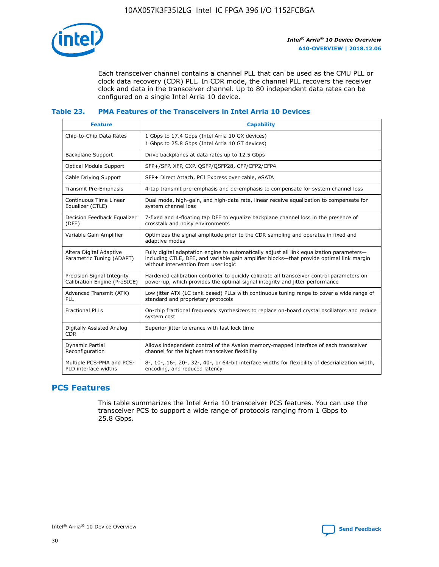![](_page_30_Picture_1.jpeg)

Each transceiver channel contains a channel PLL that can be used as the CMU PLL or clock data recovery (CDR) PLL. In CDR mode, the channel PLL recovers the receiver clock and data in the transceiver channel. Up to 80 independent data rates can be configured on a single Intel Arria 10 device.

# **Table 23. PMA Features of the Transceivers in Intel Arria 10 Devices**

| <b>Feature</b>                                             | <b>Capability</b>                                                                                                                                                                                                             |
|------------------------------------------------------------|-------------------------------------------------------------------------------------------------------------------------------------------------------------------------------------------------------------------------------|
| Chip-to-Chip Data Rates                                    | 1 Gbps to 17.4 Gbps (Intel Arria 10 GX devices)<br>1 Gbps to 25.8 Gbps (Intel Arria 10 GT devices)                                                                                                                            |
| <b>Backplane Support</b>                                   | Drive backplanes at data rates up to 12.5 Gbps                                                                                                                                                                                |
| <b>Optical Module Support</b>                              | SFP+/SFP, XFP, CXP, OSFP/QSFP28, CFP/CFP2/CFP4                                                                                                                                                                                |
| Cable Driving Support                                      | SFP+ Direct Attach, PCI Express over cable, eSATA                                                                                                                                                                             |
| <b>Transmit Pre-Emphasis</b>                               | 4-tap transmit pre-emphasis and de-emphasis to compensate for system channel loss                                                                                                                                             |
| Continuous Time Linear<br>Equalizer (CTLE)                 | Dual mode, high-gain, and high-data rate, linear receive equalization to compensate for<br>system channel loss                                                                                                                |
| Decision Feedback Equalizer<br>(DFE)                       | 7-fixed and 4-floating tap DFE to equalize backplane channel loss in the presence of<br>crosstalk and noisy environments                                                                                                      |
| Variable Gain Amplifier                                    | Optimizes the signal amplitude prior to the CDR sampling and operates in fixed and<br>adaptive modes                                                                                                                          |
| Altera Digital Adaptive<br>Parametric Tuning (ADAPT)       | Fully digital adaptation engine to automatically adjust all link equalization parameters-<br>including CTLE, DFE, and variable gain amplifier blocks-that provide optimal link margin<br>without intervention from user logic |
| Precision Signal Integrity<br>Calibration Engine (PreSICE) | Hardened calibration controller to quickly calibrate all transceiver control parameters on<br>power-up, which provides the optimal signal integrity and jitter performance                                                    |
| Advanced Transmit (ATX)<br>PLL                             | Low jitter ATX (LC tank based) PLLs with continuous tuning range to cover a wide range of<br>standard and proprietary protocols                                                                                               |
| <b>Fractional PLLs</b>                                     | On-chip fractional frequency synthesizers to replace on-board crystal oscillators and reduce<br>system cost                                                                                                                   |
| Digitally Assisted Analog<br><b>CDR</b>                    | Superior jitter tolerance with fast lock time                                                                                                                                                                                 |
| <b>Dynamic Partial</b><br>Reconfiguration                  | Allows independent control of the Avalon memory-mapped interface of each transceiver<br>channel for the highest transceiver flexibility                                                                                       |
| Multiple PCS-PMA and PCS-<br>PLD interface widths          | 8-, 10-, 16-, 20-, 32-, 40-, or 64-bit interface widths for flexibility of deserialization width,<br>encoding, and reduced latency                                                                                            |

# **PCS Features**

This table summarizes the Intel Arria 10 transceiver PCS features. You can use the transceiver PCS to support a wide range of protocols ranging from 1 Gbps to 25.8 Gbps.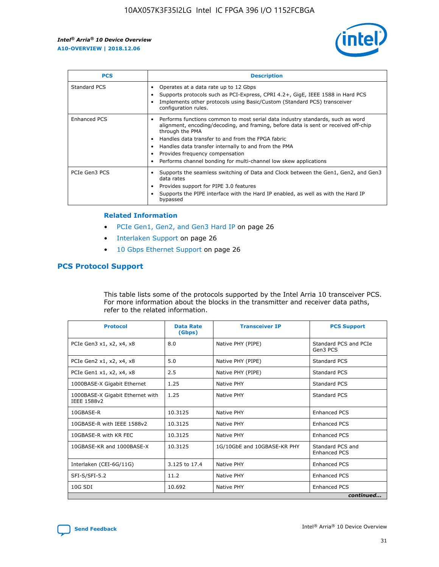![](_page_31_Picture_2.jpeg)

| <b>PCS</b>    | <b>Description</b>                                                                                                                                                                                                                                                                                                                                                                                             |
|---------------|----------------------------------------------------------------------------------------------------------------------------------------------------------------------------------------------------------------------------------------------------------------------------------------------------------------------------------------------------------------------------------------------------------------|
| Standard PCS  | Operates at a data rate up to 12 Gbps<br>Supports protocols such as PCI-Express, CPRI 4.2+, GigE, IEEE 1588 in Hard PCS<br>Implements other protocols using Basic/Custom (Standard PCS) transceiver<br>configuration rules.                                                                                                                                                                                    |
| Enhanced PCS  | Performs functions common to most serial data industry standards, such as word<br>alignment, encoding/decoding, and framing, before data is sent or received off-chip<br>through the PMA<br>• Handles data transfer to and from the FPGA fabric<br>Handles data transfer internally to and from the PMA<br>Provides frequency compensation<br>Performs channel bonding for multi-channel low skew applications |
| PCIe Gen3 PCS | Supports the seamless switching of Data and Clock between the Gen1, Gen2, and Gen3<br>data rates<br>Provides support for PIPE 3.0 features<br>Supports the PIPE interface with the Hard IP enabled, as well as with the Hard IP<br>bypassed                                                                                                                                                                    |

#### **Related Information**

- PCIe Gen1, Gen2, and Gen3 Hard IP on page 26
- Interlaken Support on page 26
- 10 Gbps Ethernet Support on page 26

# **PCS Protocol Support**

This table lists some of the protocols supported by the Intel Arria 10 transceiver PCS. For more information about the blocks in the transmitter and receiver data paths, refer to the related information.

| <b>Protocol</b>                                 | <b>Data Rate</b><br>(Gbps) | <b>Transceiver IP</b>       | <b>PCS Support</b>                      |
|-------------------------------------------------|----------------------------|-----------------------------|-----------------------------------------|
| PCIe Gen3 x1, x2, x4, x8                        | 8.0                        | Native PHY (PIPE)           | Standard PCS and PCIe<br>Gen3 PCS       |
| PCIe Gen2 x1, x2, x4, x8                        | 5.0                        | Native PHY (PIPE)           | <b>Standard PCS</b>                     |
| PCIe Gen1 x1, x2, x4, x8                        | 2.5                        | Native PHY (PIPE)           | Standard PCS                            |
| 1000BASE-X Gigabit Ethernet                     | 1.25                       | Native PHY                  | <b>Standard PCS</b>                     |
| 1000BASE-X Gigabit Ethernet with<br>IEEE 1588v2 | 1.25                       | Native PHY                  | Standard PCS                            |
| 10GBASE-R                                       | 10.3125                    | Native PHY                  | <b>Enhanced PCS</b>                     |
| 10GBASE-R with IEEE 1588v2                      | 10.3125                    | Native PHY                  | <b>Enhanced PCS</b>                     |
| 10GBASE-R with KR FEC                           | 10.3125                    | Native PHY                  | <b>Enhanced PCS</b>                     |
| 10GBASE-KR and 1000BASE-X                       | 10.3125                    | 1G/10GbE and 10GBASE-KR PHY | Standard PCS and<br><b>Enhanced PCS</b> |
| Interlaken (CEI-6G/11G)                         | 3.125 to 17.4              | Native PHY                  | <b>Enhanced PCS</b>                     |
| SFI-S/SFI-5.2                                   | 11.2                       | Native PHY                  | <b>Enhanced PCS</b>                     |
| $10G$ SDI                                       | 10.692                     | Native PHY                  | <b>Enhanced PCS</b>                     |
|                                                 |                            |                             | continued                               |

![](_page_31_Picture_11.jpeg)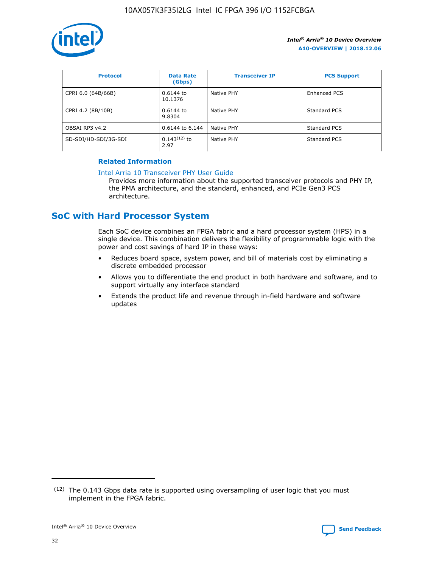![](_page_32_Picture_1.jpeg)

| <b>Protocol</b>      | <b>Data Rate</b><br>(Gbps) | <b>Transceiver IP</b> | <b>PCS Support</b> |
|----------------------|----------------------------|-----------------------|--------------------|
| CPRI 6.0 (64B/66B)   | 0.6144 to<br>10.1376       | Native PHY            | Enhanced PCS       |
| CPRI 4.2 (8B/10B)    | $0.6144$ to<br>9.8304      | Native PHY            | Standard PCS       |
| OBSAI RP3 v4.2       | 0.6144 to 6.144            | Native PHY            | Standard PCS       |
| SD-SDI/HD-SDI/3G-SDI | $0.143(12)$ to<br>2.97     | Native PHY            | Standard PCS       |

## **Related Information**

#### [Intel Arria 10 Transceiver PHY User Guide](https://www.intel.com/content/www/us/en/programmable/documentation/nik1398707230472.html#nik1398707091164)

Provides more information about the supported transceiver protocols and PHY IP, the PMA architecture, and the standard, enhanced, and PCIe Gen3 PCS architecture.

# **SoC with Hard Processor System**

Each SoC device combines an FPGA fabric and a hard processor system (HPS) in a single device. This combination delivers the flexibility of programmable logic with the power and cost savings of hard IP in these ways:

- Reduces board space, system power, and bill of materials cost by eliminating a discrete embedded processor
- Allows you to differentiate the end product in both hardware and software, and to support virtually any interface standard
- Extends the product life and revenue through in-field hardware and software updates

 $(12)$  The 0.143 Gbps data rate is supported using oversampling of user logic that you must implement in the FPGA fabric.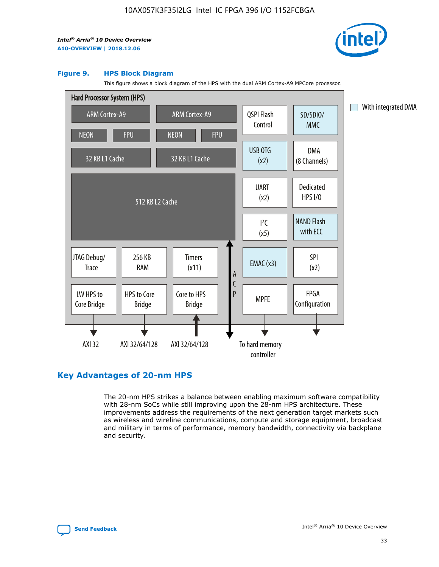![](_page_33_Picture_2.jpeg)

#### **Figure 9. HPS Block Diagram**

This figure shows a block diagram of the HPS with the dual ARM Cortex-A9 MPCore processor.

![](_page_33_Figure_5.jpeg)

# **Key Advantages of 20-nm HPS**

The 20-nm HPS strikes a balance between enabling maximum software compatibility with 28-nm SoCs while still improving upon the 28-nm HPS architecture. These improvements address the requirements of the next generation target markets such as wireless and wireline communications, compute and storage equipment, broadcast and military in terms of performance, memory bandwidth, connectivity via backplane and security.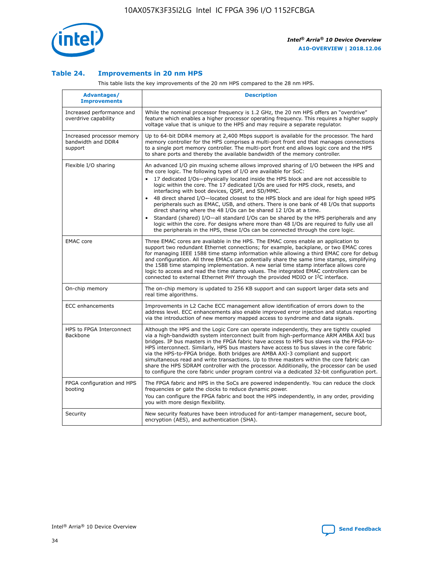![](_page_34_Picture_1.jpeg)

## **Table 24. Improvements in 20 nm HPS**

This table lists the key improvements of the 20 nm HPS compared to the 28 nm HPS.

| Advantages/<br><b>Improvements</b>                          | <b>Description</b>                                                                                                                                                                                                                                                                                                                                                                                                                                                                                                                                                                                                                                                                                                                                                                                                                                                                                                      |
|-------------------------------------------------------------|-------------------------------------------------------------------------------------------------------------------------------------------------------------------------------------------------------------------------------------------------------------------------------------------------------------------------------------------------------------------------------------------------------------------------------------------------------------------------------------------------------------------------------------------------------------------------------------------------------------------------------------------------------------------------------------------------------------------------------------------------------------------------------------------------------------------------------------------------------------------------------------------------------------------------|
| Increased performance and<br>overdrive capability           | While the nominal processor frequency is 1.2 GHz, the 20 nm HPS offers an "overdrive"<br>feature which enables a higher processor operating frequency. This requires a higher supply<br>voltage value that is unique to the HPS and may require a separate regulator.                                                                                                                                                                                                                                                                                                                                                                                                                                                                                                                                                                                                                                                   |
| Increased processor memory<br>bandwidth and DDR4<br>support | Up to 64-bit DDR4 memory at 2,400 Mbps support is available for the processor. The hard<br>memory controller for the HPS comprises a multi-port front end that manages connections<br>to a single port memory controller. The multi-port front end allows logic core and the HPS<br>to share ports and thereby the available bandwidth of the memory controller.                                                                                                                                                                                                                                                                                                                                                                                                                                                                                                                                                        |
| Flexible I/O sharing                                        | An advanced I/O pin muxing scheme allows improved sharing of I/O between the HPS and<br>the core logic. The following types of I/O are available for SoC:<br>17 dedicated I/Os-physically located inside the HPS block and are not accessible to<br>logic within the core. The 17 dedicated I/Os are used for HPS clock, resets, and<br>interfacing with boot devices, QSPI, and SD/MMC.<br>48 direct shared I/O-located closest to the HPS block and are ideal for high speed HPS<br>peripherals such as EMAC, USB, and others. There is one bank of 48 I/Os that supports<br>direct sharing where the 48 I/Os can be shared 12 I/Os at a time.<br>Standard (shared) I/O-all standard I/Os can be shared by the HPS peripherals and any<br>logic within the core. For designs where more than 48 I/Os are reguired to fully use all<br>the peripherals in the HPS, these I/Os can be connected through the core logic. |
| <b>EMAC</b> core                                            | Three EMAC cores are available in the HPS. The EMAC cores enable an application to<br>support two redundant Ethernet connections; for example, backplane, or two EMAC cores<br>for managing IEEE 1588 time stamp information while allowing a third EMAC core for debug<br>and configuration. All three EMACs can potentially share the same time stamps, simplifying<br>the 1588 time stamping implementation. A new serial time stamp interface allows core<br>logic to access and read the time stamp values. The integrated EMAC controllers can be<br>connected to external Ethernet PHY through the provided MDIO or I <sup>2</sup> C interface.                                                                                                                                                                                                                                                                  |
| On-chip memory                                              | The on-chip memory is updated to 256 KB support and can support larger data sets and<br>real time algorithms.                                                                                                                                                                                                                                                                                                                                                                                                                                                                                                                                                                                                                                                                                                                                                                                                           |
| <b>ECC</b> enhancements                                     | Improvements in L2 Cache ECC management allow identification of errors down to the<br>address level. ECC enhancements also enable improved error injection and status reporting<br>via the introduction of new memory mapped access to syndrome and data signals.                                                                                                                                                                                                                                                                                                                                                                                                                                                                                                                                                                                                                                                       |
| HPS to FPGA Interconnect<br>Backbone                        | Although the HPS and the Logic Core can operate independently, they are tightly coupled<br>via a high-bandwidth system interconnect built from high-performance ARM AMBA AXI bus<br>bridges. IP bus masters in the FPGA fabric have access to HPS bus slaves via the FPGA-to-<br>HPS interconnect. Similarly, HPS bus masters have access to bus slaves in the core fabric<br>via the HPS-to-FPGA bridge. Both bridges are AMBA AXI-3 compliant and support<br>simultaneous read and write transactions. Up to three masters within the core fabric can<br>share the HPS SDRAM controller with the processor. Additionally, the processor can be used<br>to configure the core fabric under program control via a dedicated 32-bit configuration port.                                                                                                                                                                  |
| FPGA configuration and HPS<br>booting                       | The FPGA fabric and HPS in the SoCs are powered independently. You can reduce the clock<br>frequencies or gate the clocks to reduce dynamic power.<br>You can configure the FPGA fabric and boot the HPS independently, in any order, providing<br>you with more design flexibility.                                                                                                                                                                                                                                                                                                                                                                                                                                                                                                                                                                                                                                    |
| Security                                                    | New security features have been introduced for anti-tamper management, secure boot,<br>encryption (AES), and authentication (SHA).                                                                                                                                                                                                                                                                                                                                                                                                                                                                                                                                                                                                                                                                                                                                                                                      |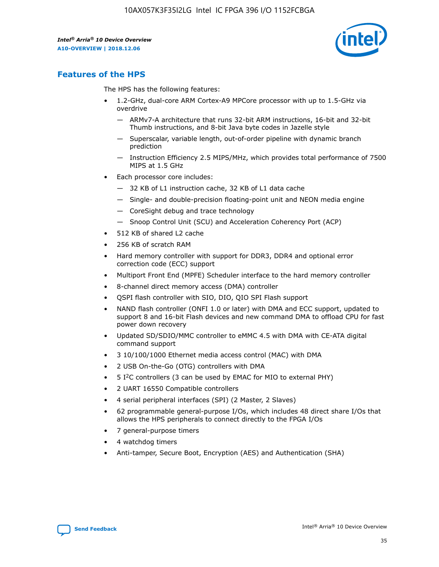![](_page_35_Picture_2.jpeg)

# **Features of the HPS**

The HPS has the following features:

- 1.2-GHz, dual-core ARM Cortex-A9 MPCore processor with up to 1.5-GHz via overdrive
	- ARMv7-A architecture that runs 32-bit ARM instructions, 16-bit and 32-bit Thumb instructions, and 8-bit Java byte codes in Jazelle style
	- Superscalar, variable length, out-of-order pipeline with dynamic branch prediction
	- Instruction Efficiency 2.5 MIPS/MHz, which provides total performance of 7500 MIPS at 1.5 GHz
- Each processor core includes:
	- 32 KB of L1 instruction cache, 32 KB of L1 data cache
	- Single- and double-precision floating-point unit and NEON media engine
	- CoreSight debug and trace technology
	- Snoop Control Unit (SCU) and Acceleration Coherency Port (ACP)
- 512 KB of shared L2 cache
- 256 KB of scratch RAM
- Hard memory controller with support for DDR3, DDR4 and optional error correction code (ECC) support
- Multiport Front End (MPFE) Scheduler interface to the hard memory controller
- 8-channel direct memory access (DMA) controller
- QSPI flash controller with SIO, DIO, QIO SPI Flash support
- NAND flash controller (ONFI 1.0 or later) with DMA and ECC support, updated to support 8 and 16-bit Flash devices and new command DMA to offload CPU for fast power down recovery
- Updated SD/SDIO/MMC controller to eMMC 4.5 with DMA with CE-ATA digital command support
- 3 10/100/1000 Ethernet media access control (MAC) with DMA
- 2 USB On-the-Go (OTG) controllers with DMA
- $\bullet$  5 I<sup>2</sup>C controllers (3 can be used by EMAC for MIO to external PHY)
- 2 UART 16550 Compatible controllers
- 4 serial peripheral interfaces (SPI) (2 Master, 2 Slaves)
- 62 programmable general-purpose I/Os, which includes 48 direct share I/Os that allows the HPS peripherals to connect directly to the FPGA I/Os
- 7 general-purpose timers
- 4 watchdog timers
- Anti-tamper, Secure Boot, Encryption (AES) and Authentication (SHA)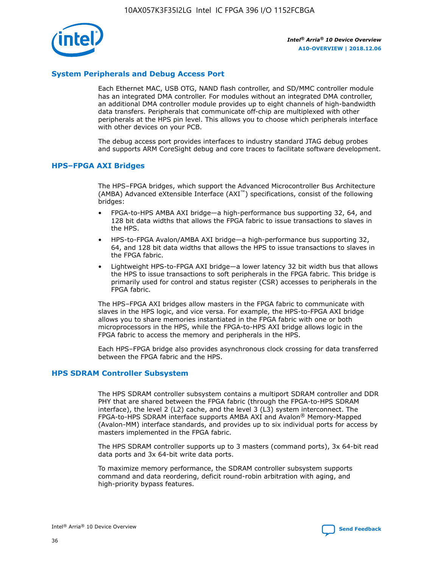![](_page_36_Picture_1.jpeg)

## **System Peripherals and Debug Access Port**

Each Ethernet MAC, USB OTG, NAND flash controller, and SD/MMC controller module has an integrated DMA controller. For modules without an integrated DMA controller, an additional DMA controller module provides up to eight channels of high-bandwidth data transfers. Peripherals that communicate off-chip are multiplexed with other peripherals at the HPS pin level. This allows you to choose which peripherals interface with other devices on your PCB.

The debug access port provides interfaces to industry standard JTAG debug probes and supports ARM CoreSight debug and core traces to facilitate software development.

## **HPS–FPGA AXI Bridges**

The HPS–FPGA bridges, which support the Advanced Microcontroller Bus Architecture (AMBA) Advanced eXtensible Interface (AXI™) specifications, consist of the following bridges:

- FPGA-to-HPS AMBA AXI bridge—a high-performance bus supporting 32, 64, and 128 bit data widths that allows the FPGA fabric to issue transactions to slaves in the HPS.
- HPS-to-FPGA Avalon/AMBA AXI bridge—a high-performance bus supporting 32, 64, and 128 bit data widths that allows the HPS to issue transactions to slaves in the FPGA fabric.
- Lightweight HPS-to-FPGA AXI bridge—a lower latency 32 bit width bus that allows the HPS to issue transactions to soft peripherals in the FPGA fabric. This bridge is primarily used for control and status register (CSR) accesses to peripherals in the FPGA fabric.

The HPS–FPGA AXI bridges allow masters in the FPGA fabric to communicate with slaves in the HPS logic, and vice versa. For example, the HPS-to-FPGA AXI bridge allows you to share memories instantiated in the FPGA fabric with one or both microprocessors in the HPS, while the FPGA-to-HPS AXI bridge allows logic in the FPGA fabric to access the memory and peripherals in the HPS.

Each HPS–FPGA bridge also provides asynchronous clock crossing for data transferred between the FPGA fabric and the HPS.

#### **HPS SDRAM Controller Subsystem**

The HPS SDRAM controller subsystem contains a multiport SDRAM controller and DDR PHY that are shared between the FPGA fabric (through the FPGA-to-HPS SDRAM interface), the level 2 (L2) cache, and the level 3 (L3) system interconnect. The FPGA-to-HPS SDRAM interface supports AMBA AXI and Avalon® Memory-Mapped (Avalon-MM) interface standards, and provides up to six individual ports for access by masters implemented in the FPGA fabric.

The HPS SDRAM controller supports up to 3 masters (command ports), 3x 64-bit read data ports and 3x 64-bit write data ports.

To maximize memory performance, the SDRAM controller subsystem supports command and data reordering, deficit round-robin arbitration with aging, and high-priority bypass features.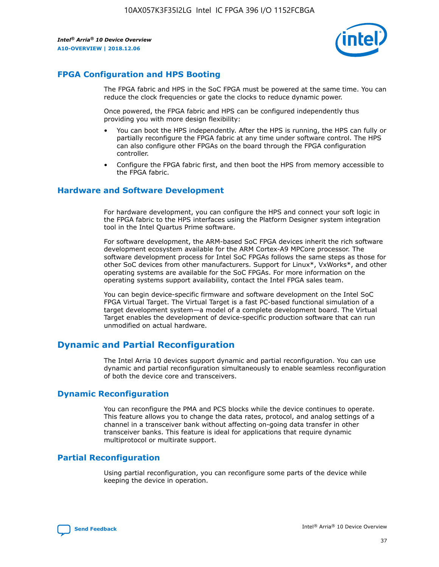![](_page_37_Picture_2.jpeg)

# **FPGA Configuration and HPS Booting**

The FPGA fabric and HPS in the SoC FPGA must be powered at the same time. You can reduce the clock frequencies or gate the clocks to reduce dynamic power.

Once powered, the FPGA fabric and HPS can be configured independently thus providing you with more design flexibility:

- You can boot the HPS independently. After the HPS is running, the HPS can fully or partially reconfigure the FPGA fabric at any time under software control. The HPS can also configure other FPGAs on the board through the FPGA configuration controller.
- Configure the FPGA fabric first, and then boot the HPS from memory accessible to the FPGA fabric.

## **Hardware and Software Development**

For hardware development, you can configure the HPS and connect your soft logic in the FPGA fabric to the HPS interfaces using the Platform Designer system integration tool in the Intel Quartus Prime software.

For software development, the ARM-based SoC FPGA devices inherit the rich software development ecosystem available for the ARM Cortex-A9 MPCore processor. The software development process for Intel SoC FPGAs follows the same steps as those for other SoC devices from other manufacturers. Support for Linux\*, VxWorks\*, and other operating systems are available for the SoC FPGAs. For more information on the operating systems support availability, contact the Intel FPGA sales team.

You can begin device-specific firmware and software development on the Intel SoC FPGA Virtual Target. The Virtual Target is a fast PC-based functional simulation of a target development system—a model of a complete development board. The Virtual Target enables the development of device-specific production software that can run unmodified on actual hardware.

# **Dynamic and Partial Reconfiguration**

The Intel Arria 10 devices support dynamic and partial reconfiguration. You can use dynamic and partial reconfiguration simultaneously to enable seamless reconfiguration of both the device core and transceivers.

# **Dynamic Reconfiguration**

You can reconfigure the PMA and PCS blocks while the device continues to operate. This feature allows you to change the data rates, protocol, and analog settings of a channel in a transceiver bank without affecting on-going data transfer in other transceiver banks. This feature is ideal for applications that require dynamic multiprotocol or multirate support.

# **Partial Reconfiguration**

Using partial reconfiguration, you can reconfigure some parts of the device while keeping the device in operation.

![](_page_37_Picture_18.jpeg)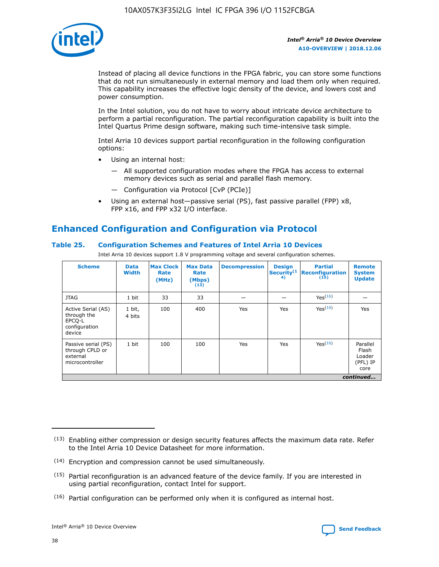![](_page_38_Picture_1.jpeg)

Instead of placing all device functions in the FPGA fabric, you can store some functions that do not run simultaneously in external memory and load them only when required. This capability increases the effective logic density of the device, and lowers cost and power consumption.

In the Intel solution, you do not have to worry about intricate device architecture to perform a partial reconfiguration. The partial reconfiguration capability is built into the Intel Quartus Prime design software, making such time-intensive task simple.

Intel Arria 10 devices support partial reconfiguration in the following configuration options:

- Using an internal host:
	- All supported configuration modes where the FPGA has access to external memory devices such as serial and parallel flash memory.
	- Configuration via Protocol [CvP (PCIe)]
- Using an external host—passive serial (PS), fast passive parallel (FPP) x8, FPP x16, and FPP x32 I/O interface.

# **Enhanced Configuration and Configuration via Protocol**

## **Table 25. Configuration Schemes and Features of Intel Arria 10 Devices**

Intel Arria 10 devices support 1.8 V programming voltage and several configuration schemes.

| <b>Scheme</b>                                                          | <b>Data</b><br><b>Width</b> | <b>Max Clock</b><br>Rate<br>(MHz) | <b>Max Data</b><br>Rate<br>(Mbps)<br>(13) | <b>Decompression</b> | <b>Design</b><br>Security <sup>(1</sup><br>4) | <b>Partial</b><br><b>Reconfiguration</b><br>(15) | <b>Remote</b><br><b>System</b><br><b>Update</b> |
|------------------------------------------------------------------------|-----------------------------|-----------------------------------|-------------------------------------------|----------------------|-----------------------------------------------|--------------------------------------------------|-------------------------------------------------|
| <b>JTAG</b>                                                            | 1 bit                       | 33                                | 33                                        |                      |                                               | Yes(16)                                          |                                                 |
| Active Serial (AS)<br>through the<br>EPCO-L<br>configuration<br>device | 1 bit,<br>4 bits            | 100                               | 400                                       | Yes                  | Yes                                           | $Y_{PS}(16)$                                     | Yes                                             |
| Passive serial (PS)<br>through CPLD or<br>external<br>microcontroller  | 1 bit                       | 100                               | 100                                       | Yes                  | Yes                                           | Yes(16)                                          | Parallel<br>Flash<br>Loader<br>(PFL) IP<br>core |
|                                                                        |                             |                                   |                                           |                      |                                               |                                                  | continued                                       |

<sup>(13)</sup> Enabling either compression or design security features affects the maximum data rate. Refer to the Intel Arria 10 Device Datasheet for more information.

<sup>(14)</sup> Encryption and compression cannot be used simultaneously.

 $(15)$  Partial reconfiguration is an advanced feature of the device family. If you are interested in using partial reconfiguration, contact Intel for support.

 $(16)$  Partial configuration can be performed only when it is configured as internal host.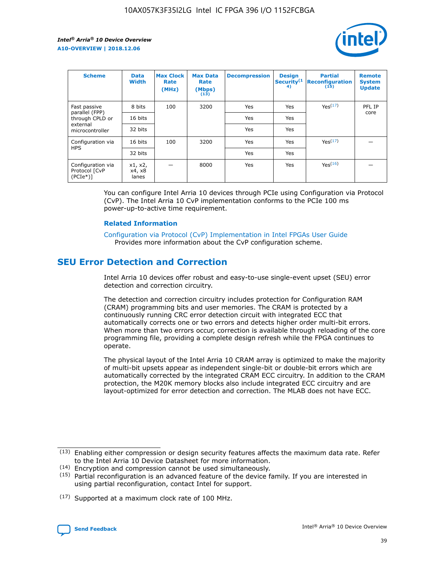![](_page_39_Picture_2.jpeg)

| <b>Scheme</b>                                   | <b>Data</b><br><b>Width</b> | <b>Max Clock</b><br>Rate<br>(MHz) | <b>Max Data</b><br>Rate<br>(Mbps)<br>(13) | <b>Decompression</b> | <b>Design</b><br>Security <sup>(1</sup><br>4) | <b>Partial</b><br><b>Reconfiguration</b><br>(15) | <b>Remote</b><br><b>System</b><br><b>Update</b> |
|-------------------------------------------------|-----------------------------|-----------------------------------|-------------------------------------------|----------------------|-----------------------------------------------|--------------------------------------------------|-------------------------------------------------|
| Fast passive                                    | 8 bits                      | 100                               | 3200                                      | Yes                  | Yes                                           | Yes(17)                                          | PFL IP                                          |
| parallel (FPP)<br>through CPLD or               | 16 bits                     |                                   |                                           | Yes                  | Yes                                           |                                                  | core                                            |
| external<br>microcontroller                     | 32 bits                     |                                   |                                           | Yes                  | Yes                                           |                                                  |                                                 |
| Configuration via                               | 16 bits                     | 100                               | 3200                                      | Yes                  | Yes                                           | Yes <sup>(17)</sup>                              |                                                 |
| <b>HPS</b>                                      | 32 bits                     |                                   |                                           | Yes                  | Yes                                           |                                                  |                                                 |
| Configuration via<br>Protocol [CvP<br>$(PCIe*)$ | x1, x2,<br>x4, x8<br>lanes  |                                   | 8000                                      | Yes                  | Yes                                           | Yes <sup>(16)</sup>                              |                                                 |

You can configure Intel Arria 10 devices through PCIe using Configuration via Protocol (CvP). The Intel Arria 10 CvP implementation conforms to the PCIe 100 ms power-up-to-active time requirement.

#### **Related Information**

[Configuration via Protocol \(CvP\) Implementation in Intel FPGAs User Guide](https://www.intel.com/content/www/us/en/programmable/documentation/dsu1441819344145.html#dsu1442269728522) Provides more information about the CvP configuration scheme.

# **SEU Error Detection and Correction**

Intel Arria 10 devices offer robust and easy-to-use single-event upset (SEU) error detection and correction circuitry.

The detection and correction circuitry includes protection for Configuration RAM (CRAM) programming bits and user memories. The CRAM is protected by a continuously running CRC error detection circuit with integrated ECC that automatically corrects one or two errors and detects higher order multi-bit errors. When more than two errors occur, correction is available through reloading of the core programming file, providing a complete design refresh while the FPGA continues to operate.

The physical layout of the Intel Arria 10 CRAM array is optimized to make the majority of multi-bit upsets appear as independent single-bit or double-bit errors which are automatically corrected by the integrated CRAM ECC circuitry. In addition to the CRAM protection, the M20K memory blocks also include integrated ECC circuitry and are layout-optimized for error detection and correction. The MLAB does not have ECC.

(14) Encryption and compression cannot be used simultaneously.

<sup>(17)</sup> Supported at a maximum clock rate of 100 MHz.

![](_page_39_Picture_15.jpeg)

 $(13)$  Enabling either compression or design security features affects the maximum data rate. Refer to the Intel Arria 10 Device Datasheet for more information.

 $(15)$  Partial reconfiguration is an advanced feature of the device family. If you are interested in using partial reconfiguration, contact Intel for support.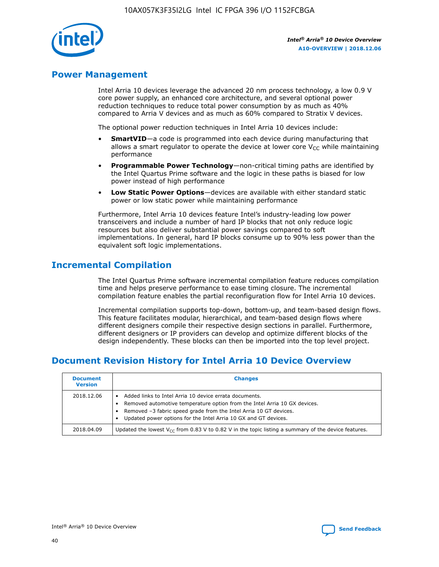![](_page_40_Picture_1.jpeg)

# **Power Management**

Intel Arria 10 devices leverage the advanced 20 nm process technology, a low 0.9 V core power supply, an enhanced core architecture, and several optional power reduction techniques to reduce total power consumption by as much as 40% compared to Arria V devices and as much as 60% compared to Stratix V devices.

The optional power reduction techniques in Intel Arria 10 devices include:

- **SmartVID**—a code is programmed into each device during manufacturing that allows a smart regulator to operate the device at lower core  $V_{CC}$  while maintaining performance
- **Programmable Power Technology**—non-critical timing paths are identified by the Intel Quartus Prime software and the logic in these paths is biased for low power instead of high performance
- **Low Static Power Options**—devices are available with either standard static power or low static power while maintaining performance

Furthermore, Intel Arria 10 devices feature Intel's industry-leading low power transceivers and include a number of hard IP blocks that not only reduce logic resources but also deliver substantial power savings compared to soft implementations. In general, hard IP blocks consume up to 90% less power than the equivalent soft logic implementations.

# **Incremental Compilation**

The Intel Quartus Prime software incremental compilation feature reduces compilation time and helps preserve performance to ease timing closure. The incremental compilation feature enables the partial reconfiguration flow for Intel Arria 10 devices.

Incremental compilation supports top-down, bottom-up, and team-based design flows. This feature facilitates modular, hierarchical, and team-based design flows where different designers compile their respective design sections in parallel. Furthermore, different designers or IP providers can develop and optimize different blocks of the design independently. These blocks can then be imported into the top level project.

# **Document Revision History for Intel Arria 10 Device Overview**

| <b>Document</b><br><b>Version</b> | <b>Changes</b>                                                                                                                                                                                                                                                              |
|-----------------------------------|-----------------------------------------------------------------------------------------------------------------------------------------------------------------------------------------------------------------------------------------------------------------------------|
| 2018.12.06                        | Added links to Intel Arria 10 device errata documents.<br>Removed automotive temperature option from the Intel Arria 10 GX devices.<br>Removed -3 fabric speed grade from the Intel Arria 10 GT devices.<br>Updated power options for the Intel Arria 10 GX and GT devices. |
| 2018.04.09                        | Updated the lowest $V_{CC}$ from 0.83 V to 0.82 V in the topic listing a summary of the device features.                                                                                                                                                                    |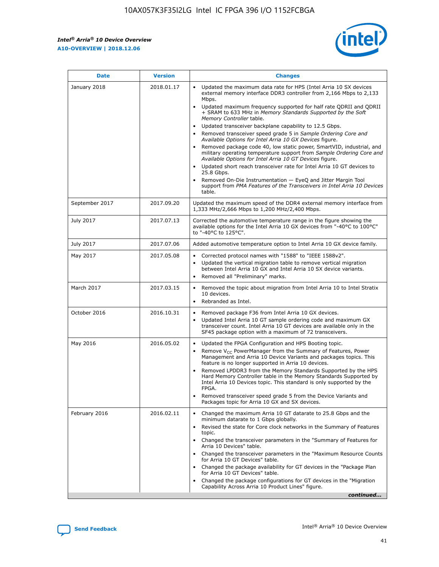*Intel® Arria® 10 Device Overview* **A10-OVERVIEW | 2018.12.06**

![](_page_41_Picture_2.jpeg)

| <b>Date</b>    | <b>Version</b> | <b>Changes</b>                                                                                                                                                                                                                                                                                                                                                                                                                                                                                                                                                                                                                                                                                                                                                                                                                                                                                                                                                            |
|----------------|----------------|---------------------------------------------------------------------------------------------------------------------------------------------------------------------------------------------------------------------------------------------------------------------------------------------------------------------------------------------------------------------------------------------------------------------------------------------------------------------------------------------------------------------------------------------------------------------------------------------------------------------------------------------------------------------------------------------------------------------------------------------------------------------------------------------------------------------------------------------------------------------------------------------------------------------------------------------------------------------------|
| January 2018   | 2018.01.17     | Updated the maximum data rate for HPS (Intel Arria 10 SX devices<br>external memory interface DDR3 controller from 2,166 Mbps to 2,133<br>Mbps.<br>Updated maximum frequency supported for half rate QDRII and QDRII<br>+ SRAM to 633 MHz in Memory Standards Supported by the Soft<br>Memory Controller table.<br>Updated transceiver backplane capability to 12.5 Gbps.<br>$\bullet$<br>Removed transceiver speed grade 5 in Sample Ordering Core and<br>Available Options for Intel Arria 10 GX Devices figure.<br>Removed package code 40, low static power, SmartVID, industrial, and<br>military operating temperature support from Sample Ordering Core and<br>Available Options for Intel Arria 10 GT Devices figure.<br>Updated short reach transceiver rate for Intel Arria 10 GT devices to<br>25.8 Gbps.<br>Removed On-Die Instrumentation - EyeQ and Jitter Margin Tool<br>support from PMA Features of the Transceivers in Intel Arria 10 Devices<br>table. |
| September 2017 | 2017.09.20     | Updated the maximum speed of the DDR4 external memory interface from<br>1,333 MHz/2,666 Mbps to 1,200 MHz/2,400 Mbps.                                                                                                                                                                                                                                                                                                                                                                                                                                                                                                                                                                                                                                                                                                                                                                                                                                                     |
| July 2017      | 2017.07.13     | Corrected the automotive temperature range in the figure showing the<br>available options for the Intel Arria 10 GX devices from "-40°C to 100°C"<br>to "-40°C to 125°C".                                                                                                                                                                                                                                                                                                                                                                                                                                                                                                                                                                                                                                                                                                                                                                                                 |
| July 2017      | 2017.07.06     | Added automotive temperature option to Intel Arria 10 GX device family.                                                                                                                                                                                                                                                                                                                                                                                                                                                                                                                                                                                                                                                                                                                                                                                                                                                                                                   |
| May 2017       | 2017.05.08     | Corrected protocol names with "1588" to "IEEE 1588v2".<br>Updated the vertical migration table to remove vertical migration<br>between Intel Arria 10 GX and Intel Arria 10 SX device variants.<br>Removed all "Preliminary" marks.                                                                                                                                                                                                                                                                                                                                                                                                                                                                                                                                                                                                                                                                                                                                       |
| March 2017     | 2017.03.15     | Removed the topic about migration from Intel Arria 10 to Intel Stratix<br>10 devices.<br>Rebranded as Intel.<br>$\bullet$                                                                                                                                                                                                                                                                                                                                                                                                                                                                                                                                                                                                                                                                                                                                                                                                                                                 |
| October 2016   | 2016.10.31     | Removed package F36 from Intel Arria 10 GX devices.<br>Updated Intel Arria 10 GT sample ordering code and maximum GX<br>$\bullet$<br>transceiver count. Intel Arria 10 GT devices are available only in the<br>SF45 package option with a maximum of 72 transceivers.                                                                                                                                                                                                                                                                                                                                                                                                                                                                                                                                                                                                                                                                                                     |
| May 2016       | 2016.05.02     | Updated the FPGA Configuration and HPS Booting topic.<br>Remove V <sub>CC</sub> PowerManager from the Summary of Features, Power<br>Management and Arria 10 Device Variants and packages topics. This<br>feature is no longer supported in Arria 10 devices.<br>Removed LPDDR3 from the Memory Standards Supported by the HPS<br>Hard Memory Controller table in the Memory Standards Supported by<br>Intel Arria 10 Devices topic. This standard is only supported by the<br>FPGA.<br>Removed transceiver speed grade 5 from the Device Variants and<br>Packages topic for Arria 10 GX and SX devices.                                                                                                                                                                                                                                                                                                                                                                   |
| February 2016  | 2016.02.11     | Changed the maximum Arria 10 GT datarate to 25.8 Gbps and the<br>minimum datarate to 1 Gbps globally.<br>Revised the state for Core clock networks in the Summary of Features<br>$\bullet$<br>topic.<br>Changed the transceiver parameters in the "Summary of Features for<br>Arria 10 Devices" table.<br>• Changed the transceiver parameters in the "Maximum Resource Counts<br>for Arria 10 GT Devices" table.<br>• Changed the package availability for GT devices in the "Package Plan<br>for Arria 10 GT Devices" table.<br>Changed the package configurations for GT devices in the "Migration"<br>Capability Across Arria 10 Product Lines" figure.<br>continued                                                                                                                                                                                                                                                                                                  |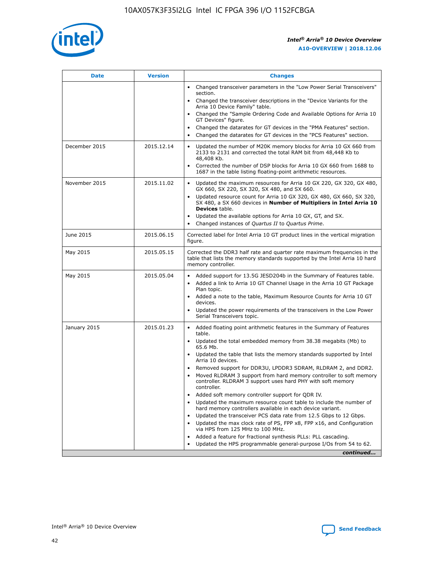![](_page_42_Picture_1.jpeg)

| <b>Date</b>   | <b>Version</b> | <b>Changes</b>                                                                                                                                                               |
|---------------|----------------|------------------------------------------------------------------------------------------------------------------------------------------------------------------------------|
|               |                | • Changed transceiver parameters in the "Low Power Serial Transceivers"<br>section.                                                                                          |
|               |                | • Changed the transceiver descriptions in the "Device Variants for the<br>Arria 10 Device Family" table.                                                                     |
|               |                | Changed the "Sample Ordering Code and Available Options for Arria 10<br>$\bullet$<br>GT Devices" figure.                                                                     |
|               |                | Changed the datarates for GT devices in the "PMA Features" section.                                                                                                          |
|               |                | Changed the datarates for GT devices in the "PCS Features" section.<br>$\bullet$                                                                                             |
| December 2015 | 2015.12.14     | Updated the number of M20K memory blocks for Arria 10 GX 660 from<br>2133 to 2131 and corrected the total RAM bit from 48,448 Kb to<br>48,408 Kb.                            |
|               |                | Corrected the number of DSP blocks for Arria 10 GX 660 from 1688 to<br>1687 in the table listing floating-point arithmetic resources.                                        |
| November 2015 | 2015.11.02     | Updated the maximum resources for Arria 10 GX 220, GX 320, GX 480,<br>$\bullet$<br>GX 660, SX 220, SX 320, SX 480, and SX 660.                                               |
|               |                | • Updated resource count for Arria 10 GX 320, GX 480, GX 660, SX 320,<br>SX 480, a SX 660 devices in Number of Multipliers in Intel Arria 10<br><b>Devices</b> table.        |
|               |                | Updated the available options for Arria 10 GX, GT, and SX.                                                                                                                   |
|               |                | Changed instances of Quartus II to Quartus Prime.<br>$\bullet$                                                                                                               |
| June 2015     | 2015.06.15     | Corrected label for Intel Arria 10 GT product lines in the vertical migration<br>figure.                                                                                     |
| May 2015      | 2015.05.15     | Corrected the DDR3 half rate and quarter rate maximum frequencies in the<br>table that lists the memory standards supported by the Intel Arria 10 hard<br>memory controller. |
| May 2015      | 2015.05.04     | • Added support for 13.5G JESD204b in the Summary of Features table.                                                                                                         |
|               |                | • Added a link to Arria 10 GT Channel Usage in the Arria 10 GT Package<br>Plan topic.                                                                                        |
|               |                | • Added a note to the table, Maximum Resource Counts for Arria 10 GT<br>devices.                                                                                             |
|               |                | • Updated the power requirements of the transceivers in the Low Power<br>Serial Transceivers topic.                                                                          |
| January 2015  | 2015.01.23     | • Added floating point arithmetic features in the Summary of Features<br>table.                                                                                              |
|               |                | • Updated the total embedded memory from 38.38 megabits (Mb) to<br>65.6 Mb.                                                                                                  |
|               |                | • Updated the table that lists the memory standards supported by Intel<br>Arria 10 devices.                                                                                  |
|               |                | Removed support for DDR3U, LPDDR3 SDRAM, RLDRAM 2, and DDR2.                                                                                                                 |
|               |                | Moved RLDRAM 3 support from hard memory controller to soft memory<br>controller. RLDRAM 3 support uses hard PHY with soft memory<br>controller.                              |
|               |                | Added soft memory controller support for QDR IV.<br>٠                                                                                                                        |
|               |                | Updated the maximum resource count table to include the number of<br>hard memory controllers available in each device variant.                                               |
|               |                | Updated the transceiver PCS data rate from 12.5 Gbps to 12 Gbps.<br>$\bullet$                                                                                                |
|               |                | Updated the max clock rate of PS, FPP x8, FPP x16, and Configuration<br>via HPS from 125 MHz to 100 MHz.                                                                     |
|               |                | Added a feature for fractional synthesis PLLs: PLL cascading.                                                                                                                |
|               |                | Updated the HPS programmable general-purpose I/Os from 54 to 62.<br>$\bullet$                                                                                                |
|               |                | continued                                                                                                                                                                    |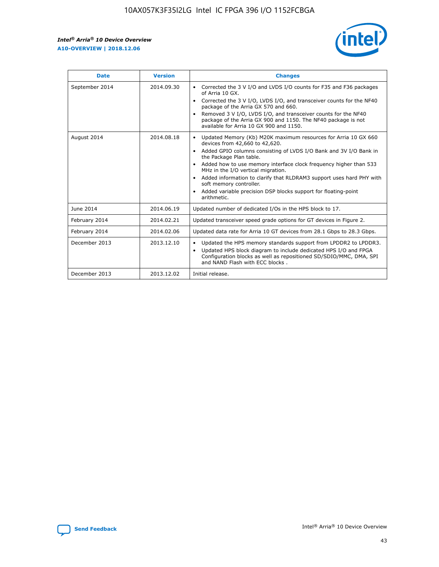r

![](_page_43_Picture_2.jpeg)

| <b>Date</b>    | <b>Version</b> | <b>Changes</b>                                                                                                                                                                                                                                                                                                                                                                                                                                                                                                                                      |
|----------------|----------------|-----------------------------------------------------------------------------------------------------------------------------------------------------------------------------------------------------------------------------------------------------------------------------------------------------------------------------------------------------------------------------------------------------------------------------------------------------------------------------------------------------------------------------------------------------|
| September 2014 | 2014.09.30     | Corrected the 3 V I/O and LVDS I/O counts for F35 and F36 packages<br>$\bullet$<br>of Arria 10 GX.<br>Corrected the 3 V I/O, LVDS I/O, and transceiver counts for the NF40<br>$\bullet$<br>package of the Arria GX 570 and 660.<br>Removed 3 V I/O, LVDS I/O, and transceiver counts for the NF40<br>package of the Arria GX 900 and 1150. The NF40 package is not<br>available for Arria 10 GX 900 and 1150.                                                                                                                                       |
| August 2014    | 2014.08.18     | Updated Memory (Kb) M20K maximum resources for Arria 10 GX 660<br>devices from 42,660 to 42,620.<br>Added GPIO columns consisting of LVDS I/O Bank and 3V I/O Bank in<br>$\bullet$<br>the Package Plan table.<br>Added how to use memory interface clock frequency higher than 533<br>$\bullet$<br>MHz in the I/O vertical migration.<br>Added information to clarify that RLDRAM3 support uses hard PHY with<br>$\bullet$<br>soft memory controller.<br>Added variable precision DSP blocks support for floating-point<br>$\bullet$<br>arithmetic. |
| June 2014      | 2014.06.19     | Updated number of dedicated I/Os in the HPS block to 17.                                                                                                                                                                                                                                                                                                                                                                                                                                                                                            |
| February 2014  | 2014.02.21     | Updated transceiver speed grade options for GT devices in Figure 2.                                                                                                                                                                                                                                                                                                                                                                                                                                                                                 |
| February 2014  | 2014.02.06     | Updated data rate for Arria 10 GT devices from 28.1 Gbps to 28.3 Gbps.                                                                                                                                                                                                                                                                                                                                                                                                                                                                              |
| December 2013  | 2013.12.10     | Updated the HPS memory standards support from LPDDR2 to LPDDR3.<br>Updated HPS block diagram to include dedicated HPS I/O and FPGA<br>$\bullet$<br>Configuration blocks as well as repositioned SD/SDIO/MMC, DMA, SPI<br>and NAND Flash with ECC blocks.                                                                                                                                                                                                                                                                                            |
| December 2013  | 2013.12.02     | Initial release.                                                                                                                                                                                                                                                                                                                                                                                                                                                                                                                                    |

![](_page_43_Picture_4.jpeg)